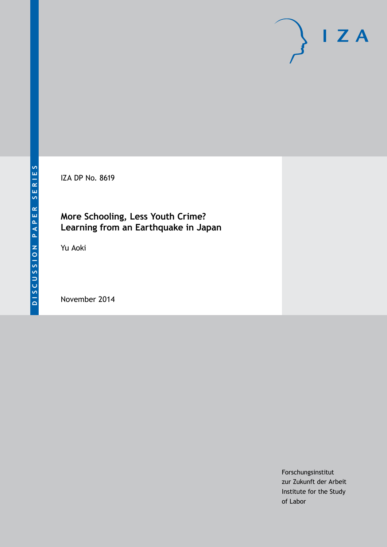IZA DP No. 8619

# **More Schooling, Less Youth Crime? Learning from an Earthquake in Japan**

Yu Aoki

November 2014

Forschungsinstitut zur Zukunft der Arbeit Institute for the Study of Labor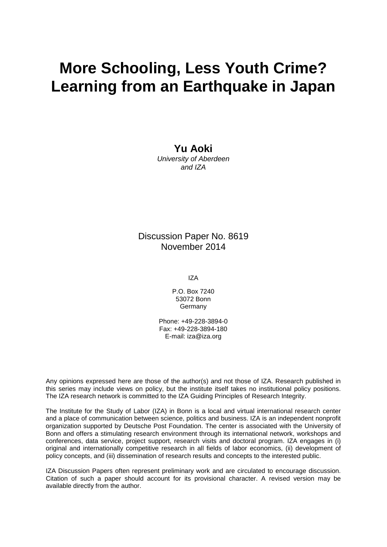# **More Schooling, Less Youth Crime? Learning from an Earthquake in Japan**

**Yu Aoki**

*University of Aberdeen and IZA*

# Discussion Paper No. 8619 November 2014

IZA

P.O. Box 7240 53072 Bonn **Germany** 

Phone: +49-228-3894-0 Fax: +49-228-3894-180 E-mail: [iza@iza.org](mailto:iza@iza.org)

Any opinions expressed here are those of the author(s) and not those of IZA. Research published in this series may include views on policy, but the institute itself takes no institutional policy positions. The IZA research network is committed to the IZA Guiding Principles of Research Integrity.

The Institute for the Study of Labor (IZA) in Bonn is a local and virtual international research center and a place of communication between science, politics and business. IZA is an independent nonprofit organization supported by Deutsche Post Foundation. The center is associated with the University of Bonn and offers a stimulating research environment through its international network, workshops and conferences, data service, project support, research visits and doctoral program. IZA engages in (i) original and internationally competitive research in all fields of labor economics, (ii) development of policy concepts, and (iii) dissemination of research results and concepts to the interested public.

<span id="page-1-0"></span>IZA Discussion Papers often represent preliminary work and are circulated to encourage discussion. Citation of such a paper should account for its provisional character. A revised version may be available directly from the author.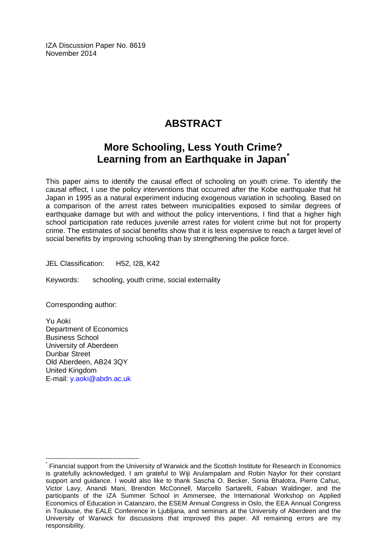IZA Discussion Paper No. 8619 November 2014

# **ABSTRACT**

# **More Schooling, Less Youth Crime? Learning from an Earthquake in Japan[\\*](#page-1-0)**

This paper aims to identify the causal effect of schooling on youth crime. To identify the causal effect, I use the policy interventions that occurred after the Kobe earthquake that hit Japan in 1995 as a natural experiment inducing exogenous variation in schooling. Based on a comparison of the arrest rates between municipalities exposed to similar degrees of earthquake damage but with and without the policy interventions, I find that a higher high school participation rate reduces juvenile arrest rates for violent crime but not for property crime. The estimates of social benefits show that it is less expensive to reach a target level of social benefits by improving schooling than by strengthening the police force.

JEL Classification: H52, I28, K42

Keywords: schooling, youth crime, social externality

Corresponding author:

Yu Aoki Department of Economics Business School University of Aberdeen Dunbar Street Old Aberdeen, AB24 3QY United Kingdom E-mail: [y.aoki@abdn.ac.uk](mailto:y.aoki@abdn.ac.uk)

Financial support from the University of Warwick and the Scottish Institute for Research in Economics is gratefully acknowledged. I am grateful to Wiji Arulampalam and Robin Naylor for their constant support and guidance. I would also like to thank Sascha O. Becker, Sonia Bhalotra, Pierre Cahuc, Victor Lavy, Anandi Mani, Brendon McConnell, Marcello Sartarelli, Fabian Waldinger, and the participants of the IZA Summer School in Ammersee, the International Workshop on Applied Economics of Education in Catanzaro, the ESEM Annual Congress in Oslo, the EEA Annual Congress in Toulouse, the EALE Conference in Ljubljana, and seminars at the University of Aberdeen and the University of Warwick for discussions that improved this paper. All remaining errors are my responsibility.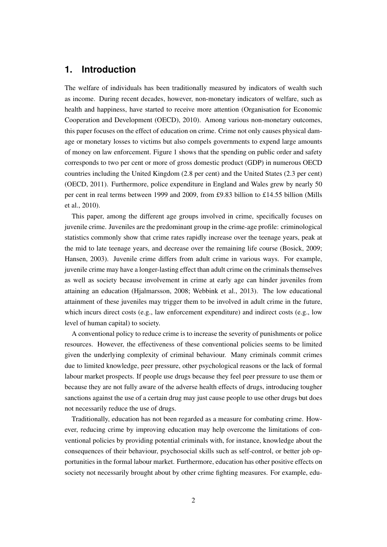# **1. Introduction**

The welfare of individuals has been traditionally measured by indicators of wealth such as income. During recent decades, however, non-monetary indicators of welfare, such as health and happiness, have started to receive more attention (Organisation for Economic Cooperation and Development (OECD), 2010). Among various non-monetary outcomes, this paper focuses on the effect of education on crime. Crime not only causes physical damage or monetary losses to victims but also compels governments to expend large amounts of money on law enforcement. Figure 1 shows that the spending on public order and safety corresponds to two per cent or more of gross domestic product (GDP) in numerous OECD countries including the United Kingdom (2.8 per cent) and the United States (2.3 per cent) (OECD, 2011). Furthermore, police expenditure in England and Wales grew by nearly 50 per cent in real terms between 1999 and 2009, from £9.83 billion to £14.55 billion (Mills et al., 2010).

This paper, among the different age groups involved in crime, specifically focuses on juvenile crime. Juveniles are the predominant group in the crime-age profile: criminological statistics commonly show that crime rates rapidly increase over the teenage years, peak at the mid to late teenage years, and decrease over the remaining life course (Bosick, 2009; Hansen, 2003). Juvenile crime differs from adult crime in various ways. For example, juvenile crime may have a longer-lasting effect than adult crime on the criminals themselves as well as society because involvement in crime at early age can hinder juveniles from attaining an education (Hjalmarsson, 2008; Webbink et al., 2013). The low educational attainment of these juveniles may trigger them to be involved in adult crime in the future, which incurs direct costs (e.g., law enforcement expenditure) and indirect costs (e.g., low level of human capital) to society.

A conventional policy to reduce crime is to increase the severity of punishments or police resources. However, the effectiveness of these conventional policies seems to be limited given the underlying complexity of criminal behaviour. Many criminals commit crimes due to limited knowledge, peer pressure, other psychological reasons or the lack of formal labour market prospects. If people use drugs because they feel peer pressure to use them or because they are not fully aware of the adverse health effects of drugs, introducing tougher sanctions against the use of a certain drug may just cause people to use other drugs but does not necessarily reduce the use of drugs.

Traditionally, education has not been regarded as a measure for combating crime. However, reducing crime by improving education may help overcome the limitations of conventional policies by providing potential criminals with, for instance, knowledge about the consequences of their behaviour, psychosocial skills such as self-control, or better job opportunities in the formal labour market. Furthermore, education has other positive effects on society not necessarily brought about by other crime fighting measures. For example, edu-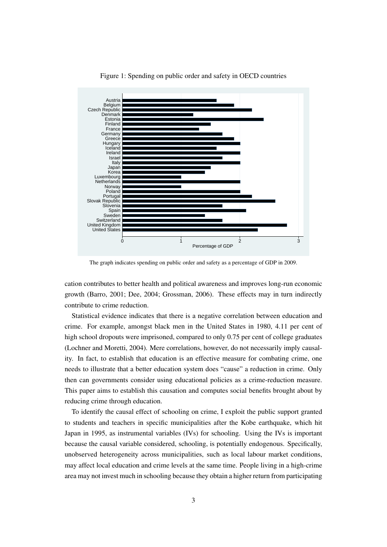

Figure 1: Spending on public order and safety in OECD countries

The graph indicates spending on public order and safety as a percentage of GDP in 2009.

cation contributes to better health and political awareness and improves long-run economic growth (Barro, 2001; Dee, 2004; Grossman, 2006). These effects may in turn indirectly contribute to crime reduction.

Statistical evidence indicates that there is a negative correlation between education and crime. For example, amongst black men in the United States in 1980, 4.11 per cent of high school dropouts were imprisoned, compared to only 0.75 per cent of college graduates (Lochner and Moretti, 2004). Mere correlations, however, do not necessarily imply causality. In fact, to establish that education is an effective measure for combating crime, one needs to illustrate that a better education system does "cause" a reduction in crime. Only then can governments consider using educational policies as a crime-reduction measure. This paper aims to establish this causation and computes social benefits brought about by reducing crime through education.

To identify the causal effect of schooling on crime, I exploit the public support granted to students and teachers in specific municipalities after the Kobe earthquake, which hit Japan in 1995, as instrumental variables (IVs) for schooling. Using the IVs is important because the causal variable considered, schooling, is potentially endogenous. Specifically, unobserved heterogeneity across municipalities, such as local labour market conditions, may affect local education and crime levels at the same time. People living in a high-crime area may not invest much in schooling because they obtain a higher return from participating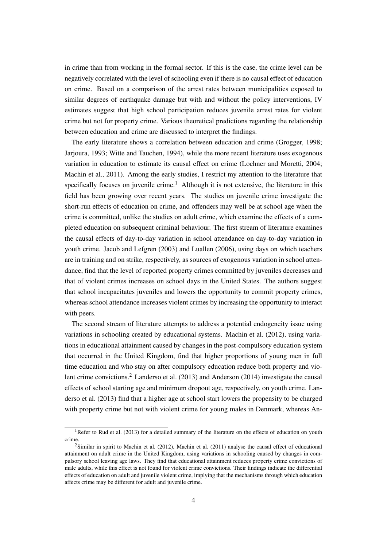in crime than from working in the formal sector. If this is the case, the crime level can be negatively correlated with the level of schooling even if there is no causal effect of education on crime. Based on a comparison of the arrest rates between municipalities exposed to similar degrees of earthquake damage but with and without the policy interventions, IV estimates suggest that high school participation reduces juvenile arrest rates for violent crime but not for property crime. Various theoretical predictions regarding the relationship between education and crime are discussed to interpret the findings.

The early literature shows a correlation between education and crime (Grogger, 1998; Jarjoura, 1993; Witte and Tauchen, 1994), while the more recent literature uses exogenous variation in education to estimate its causal effect on crime (Lochner and Moretti, 2004; Machin et al., 2011). Among the early studies, I restrict my attention to the literature that specifically focuses on juvenile crime.<sup>1</sup> Although it is not extensive, the literature in this field has been growing over recent years. The studies on juvenile crime investigate the short-run effects of education on crime, and offenders may well be at school age when the crime is committed, unlike the studies on adult crime, which examine the effects of a completed education on subsequent criminal behaviour. The first stream of literature examines the causal effects of day-to-day variation in school attendance on day-to-day variation in youth crime. Jacob and Lefgren (2003) and Luallen (2006), using days on which teachers are in training and on strike, respectively, as sources of exogenous variation in school attendance, find that the level of reported property crimes committed by juveniles decreases and that of violent crimes increases on school days in the United States. The authors suggest that school incapacitates juveniles and lowers the opportunity to commit property crimes, whereas school attendance increases violent crimes by increasing the opportunity to interact with peers.

The second stream of literature attempts to address a potential endogeneity issue using variations in schooling created by educational systems. Machin et al. (2012), using variations in educational attainment caused by changes in the post-compulsory education system that occurred in the United Kingdom, find that higher proportions of young men in full time education and who stay on after compulsory education reduce both property and violent crime convictions.<sup>2</sup> Landerso et al. (2013) and Anderson (2014) investigate the causal effects of school starting age and minimum dropout age, respectively, on youth crime. Landerso et al. (2013) find that a higher age at school start lowers the propensity to be charged with property crime but not with violent crime for young males in Denmark, whereas An-

<sup>&</sup>lt;sup>1</sup>Refer to Rud et al. (2013) for a detailed summary of the literature on the effects of education on youth crime.

<sup>&</sup>lt;sup>2</sup>Similar in spirit to Machin et al. (2012), Machin et al. (2011) analyse the causal effect of educational attainment on adult crime in the United Kingdom, using variations in schooling caused by changes in compulsory school leaving age laws. They find that educational attainment reduces property crime convictions of male adults, while this effect is not found for violent crime convictions. Their findings indicate the differential effects of education on adult and juvenile violent crime, implying that the mechanisms through which education affects crime may be different for adult and juvenile crime.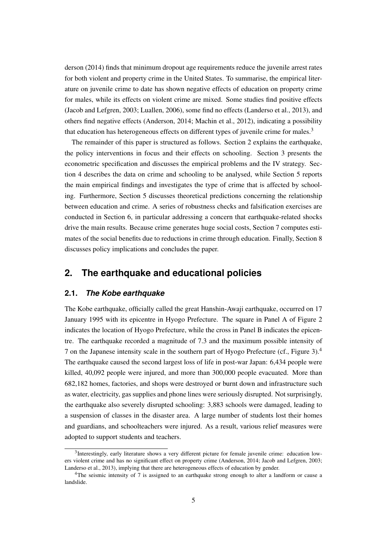derson (2014) finds that minimum dropout age requirements reduce the juvenile arrest rates for both violent and property crime in the United States. To summarise, the empirical literature on juvenile crime to date has shown negative effects of education on property crime for males, while its effects on violent crime are mixed. Some studies find positive effects (Jacob and Lefgren, 2003; Luallen, 2006), some find no effects (Landerso et al., 2013), and others find negative effects (Anderson, 2014; Machin et al., 2012), indicating a possibility that education has heterogeneous effects on different types of juvenile crime for males.<sup>3</sup>

The remainder of this paper is structured as follows. Section 2 explains the earthquake, the policy interventions in focus and their effects on schooling. Section 3 presents the econometric specification and discusses the empirical problems and the IV strategy. Section 4 describes the data on crime and schooling to be analysed, while Section 5 reports the main empirical findings and investigates the type of crime that is affected by schooling. Furthermore, Section 5 discusses theoretical predictions concerning the relationship between education and crime. A series of robustness checks and falsification exercises are conducted in Section 6, in particular addressing a concern that earthquake-related shocks drive the main results. Because crime generates huge social costs, Section 7 computes estimates of the social benefits due to reductions in crime through education. Finally, Section 8 discusses policy implications and concludes the paper.

# **2. The earthquake and educational policies**

#### **2.1.** *The Kobe earthquake*

The Kobe earthquake, officially called the great Hanshin-Awaji earthquake, occurred on 17 January 1995 with its epicentre in Hyogo Prefecture. The square in Panel A of Figure 2 indicates the location of Hyogo Prefecture, while the cross in Panel B indicates the epicentre. The earthquake recorded a magnitude of 7.3 and the maximum possible intensity of 7 on the Japanese intensity scale in the southern part of Hyogo Prefecture (cf., Figure 3).<sup>4</sup> The earthquake caused the second largest loss of life in post-war Japan: 6,434 people were killed, 40,092 people were injured, and more than 300,000 people evacuated. More than 682,182 homes, factories, and shops were destroyed or burnt down and infrastructure such as water, electricity, gas supplies and phone lines were seriously disrupted. Not surprisingly, the earthquake also severely disrupted schooling: 3,883 schools were damaged, leading to a suspension of classes in the disaster area. A large number of students lost their homes and guardians, and schoolteachers were injured. As a result, various relief measures were adopted to support students and teachers.

<sup>&</sup>lt;sup>3</sup>Interestingly, early literature shows a very different picture for female juvenile crime: education lowers violent crime and has no significant effect on property crime (Anderson, 2014; Jacob and Lefgren, 2003; Landerso et al., 2013), implying that there are heterogeneous effects of education by gender.

<sup>&</sup>lt;sup>4</sup>The seismic intensity of 7 is assigned to an earthquake strong enough to alter a landform or cause a landslide.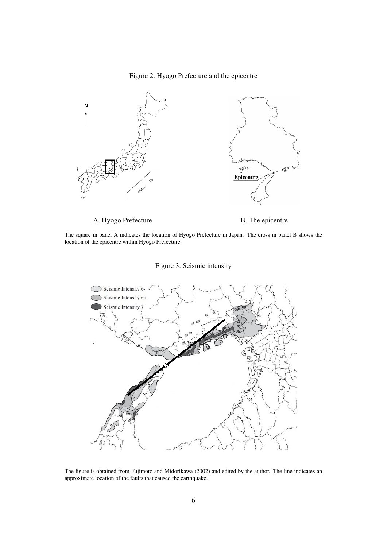#### Figure 2: Hyogo Prefecture and the epicentre



The square in panel A indicates the location of Hyogo Prefecture in Japan. The cross in panel B shows the location of the epicentre within Hyogo Prefecture.





The figure is obtained from Fujimoto and Midorikawa (2002) and edited by the author. The line indicates an approximate location of the faults that caused the earthquake.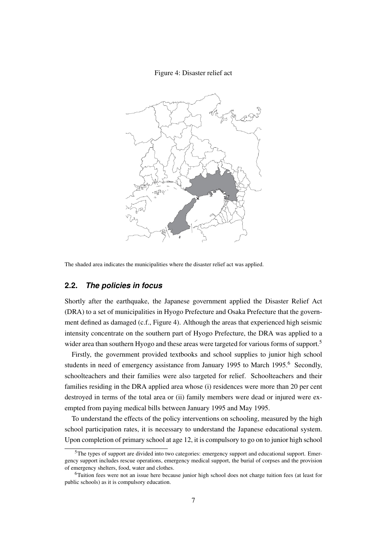#### Figure 4: Disaster relief act



The shaded area indicates the municipalities where the disaster relief act was applied.

#### **2.2.** *The policies in focus*

Shortly after the earthquake, the Japanese government applied the Disaster Relief Act (DRA) to a set of municipalities in Hyogo Prefecture and Osaka Prefecture that the government defined as damaged (c.f., Figure 4). Although the areas that experienced high seismic intensity concentrate on the southern part of Hyogo Prefecture, the DRA was applied to a wider area than southern Hyogo and these areas were targeted for various forms of support.<sup>5</sup>

Firstly, the government provided textbooks and school supplies to junior high school students in need of emergency assistance from January 1995 to March 1995.<sup>6</sup> Secondly, schoolteachers and their families were also targeted for relief. Schoolteachers and their families residing in the DRA applied area whose (i) residences were more than 20 per cent destroyed in terms of the total area or (ii) family members were dead or injured were exempted from paying medical bills between January 1995 and May 1995.

To understand the effects of the policy interventions on schooling, measured by the high school participation rates, it is necessary to understand the Japanese educational system. Upon completion of primary school at age 12, it is compulsory to go on to junior high school

<sup>5</sup>The types of support are divided into two categories: emergency support and educational support. Emergency support includes rescue operations, emergency medical support, the burial of corpses and the provision of emergency shelters, food, water and clothes.

<sup>6</sup>Tuition fees were not an issue here because junior high school does not charge tuition fees (at least for public schools) as it is compulsory education.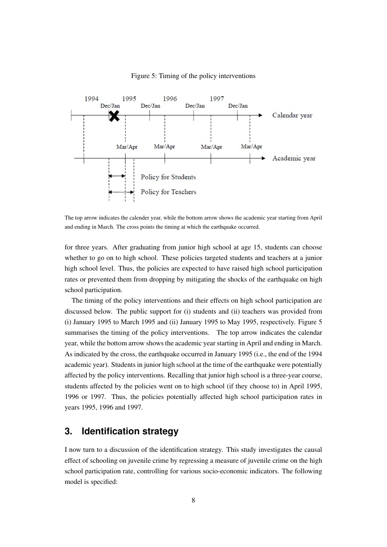

#### Figure 5: Timing of the policy interventions

The top arrow indicates the calender year, while the bottom arrow shows the academic year starting from April and ending in March. The cross points the timing at which the earthquake occurred.

for three years. After graduating from junior high school at age 15, students can choose whether to go on to high school. These policies targeted students and teachers at a junior high school level. Thus, the policies are expected to have raised high school participation rates or prevented them from dropping by mitigating the shocks of the earthquake on high school participation.

The timing of the policy interventions and their effects on high school participation are discussed below. The public support for (i) students and (ii) teachers was provided from (i) January 1995 to March 1995 and (ii) January 1995 to May 1995, respectively. Figure 5 summarises the timing of the policy interventions. The top arrow indicates the calendar year, while the bottom arrow shows the academic year starting in April and ending in March. As indicated by the cross, the earthquake occurred in January 1995 (i.e., the end of the 1994 academic year). Students in junior high school at the time of the earthquake were potentially affected by the policy interventions. Recalling that junior high school is a three-year course, students affected by the policies went on to high school (if they choose to) in April 1995, 1996 or 1997. Thus, the policies potentially affected high school participation rates in years 1995, 1996 and 1997.

# **3. Identification strategy**

I now turn to a discussion of the identification strategy. This study investigates the causal effect of schooling on juvenile crime by regressing a measure of juvenile crime on the high school participation rate, controlling for various socio-economic indicators. The following model is specified: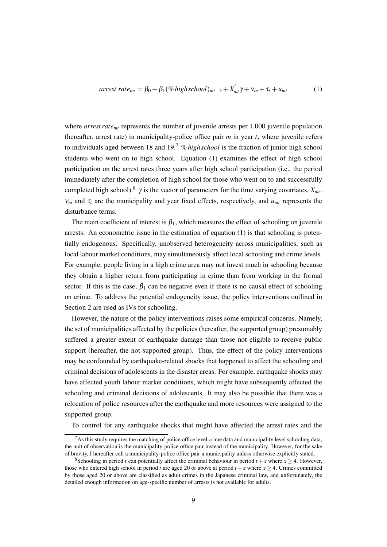$$
arrest\ rate_{mt} = \beta_0 + \beta_1 (\%\ high\ school)_{mt-3} + X'_{mt}\gamma + \nu_m + \tau_t + u_{mt}
$$
 (1)

where *arrest rate<sub>mt</sub>* represents the number of juvenile arrests per 1,000 juvenile population (hereafter, arrest rate) in municipality-police office pair *m* in year *t*, where juvenile refers to individuals aged between 18 and 19.<sup>7</sup> %*high school* is the fraction of junior high school students who went on to high school. Equation (1) examines the effect of high school participation on the arrest rates three years after high school participation (i.e., the period immediately after the completion of high school for those who went on to and successfully completed high school).<sup>8</sup>  $\gamma$  is the vector of parameters for the time varying covariates,  $X_{mt}$ .  $v_m$  and  $\tau_t$  are the municipality and year fixed effects, respectively, and  $u_{mt}$  represents the disturbance terms.

The main coefficient of interest is  $\beta_1$ , which measures the effect of schooling on juvenile arrests. An econometric issue in the estimation of equation (1) is that schooling is potentially endogenous. Specifically, unobserved heterogeneity across municipalities, such as local labour market conditions, may simultaneously affect local schooling and crime levels. For example, people living in a high crime area may not invest much in schooling because they obtain a higher return from participating in crime than from working in the formal sector. If this is the case,  $\beta_1$  can be negative even if there is no causal effect of schooling on crime. To address the potential endogeneity issue, the policy interventions outlined in Section 2 are used as IVs for schooling.

However, the nature of the policy interventions raises some empirical concerns. Namely, the set of municipalities affected by the policies (hereafter, the supported group) presumably suffered a greater extent of earthquake damage than those not eligible to receive public support (hereafter, the not-supported group). Thus, the effect of the policy interventions may be confounded by earthquake-related shocks that happened to affect the schooling and criminal decisions of adolescents in the disaster areas. For example, earthquake shocks may have affected youth labour market conditions, which might have subsequently affected the schooling and criminal decisions of adolescents. It may also be possible that there was a relocation of police resources after the earthquake and more resources were assigned to the supported group.

To control for any earthquake shocks that might have affected the arrest rates and the

 $<sup>7</sup>$ As this study requires the matching of police office level crime data and municipality level schooling data,</sup> the unit of observation is the municipality-police office pair instead of the municipality. However, for the sake of brevity, I hereafter call a municipality-police office pair a municipality unless otherwise explicitly stated.

<sup>&</sup>lt;sup>8</sup>Schooling in period *t* can potentially affect the criminal behaviour in period  $t + x$  where  $x \ge 4$ . However, those who entered high school in period *t* are aged 20 or above at period  $t + x$  where  $x \ge 4$ . Crimes committed by those aged 20 or above are classified as adult crimes in the Japanese criminal law, and unfortunately, the detailed enough information on age-specific number of arrests is not available for adults.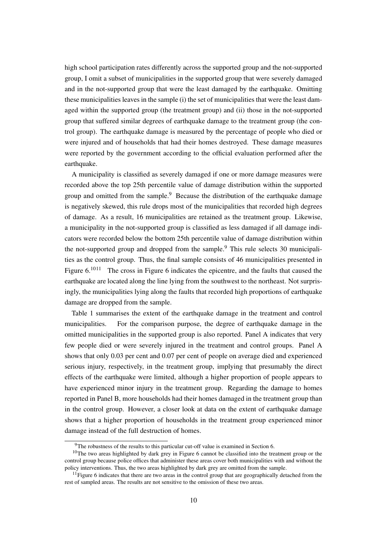high school participation rates differently across the supported group and the not-supported group, I omit a subset of municipalities in the supported group that were severely damaged and in the not-supported group that were the least damaged by the earthquake. Omitting these municipalities leaves in the sample (i) the set of municipalities that were the least damaged within the supported group (the treatment group) and (ii) those in the not-supported group that suffered similar degrees of earthquake damage to the treatment group (the control group). The earthquake damage is measured by the percentage of people who died or were injured and of households that had their homes destroyed. These damage measures were reported by the government according to the official evaluation performed after the earthquake.

A municipality is classified as severely damaged if one or more damage measures were recorded above the top 25th percentile value of damage distribution within the supported group and omitted from the sample.<sup>9</sup> Because the distribution of the earthquake damage is negatively skewed, this rule drops most of the municipalities that recorded high degrees of damage. As a result, 16 municipalities are retained as the treatment group. Likewise, a municipality in the not-supported group is classified as less damaged if all damage indicators were recorded below the bottom 25th percentile value of damage distribution within the not-supported group and dropped from the sample.<sup>9</sup> This rule selects 30 municipalities as the control group. Thus, the final sample consists of 46 municipalities presented in Figure  $6^{1011}$  The cross in Figure 6 indicates the epicentre, and the faults that caused the earthquake are located along the line lying from the southwest to the northeast. Not surprisingly, the municipalities lying along the faults that recorded high proportions of earthquake damage are dropped from the sample.

Table 1 summarises the extent of the earthquake damage in the treatment and control municipalities. For the comparison purpose, the degree of earthquake damage in the omitted municipalities in the supported group is also reported. Panel A indicates that very few people died or were severely injured in the treatment and control groups. Panel A shows that only 0.03 per cent and 0.07 per cent of people on average died and experienced serious injury, respectively, in the treatment group, implying that presumably the direct effects of the earthquake were limited, although a higher proportion of people appears to have experienced minor injury in the treatment group. Regarding the damage to homes reported in Panel B, more households had their homes damaged in the treatment group than in the control group. However, a closer look at data on the extent of earthquake damage shows that a higher proportion of households in the treatment group experienced minor damage instead of the full destruction of homes.

<sup>&</sup>lt;sup>9</sup>The robustness of the results to this particular cut-off value is examined in Section 6.

<sup>&</sup>lt;sup>10</sup>The two areas highlighted by dark grey in Figure 6 cannot be classified into the treatment group or the control group because police offices that administer these areas cover both municipalities with and without the policy interventions. Thus, the two areas highlighted by dark grey are omitted from the sample.

 $11$  Figure 6 indicates that there are two areas in the control group that are geographically detached from the rest of sampled areas. The results are not sensitive to the omission of these two areas.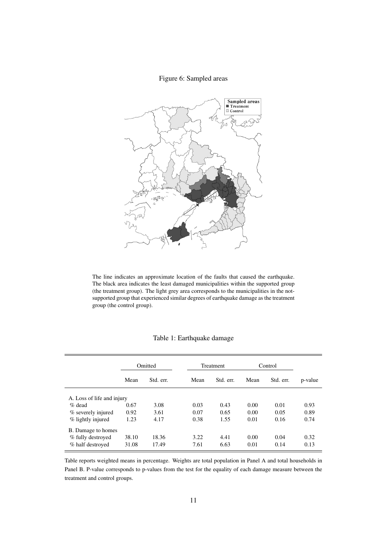#### Figure 6: Sampled areas



The line indicates an approximate location of the faults that caused the earthquake. The black area indicates the least damaged municipalities within the supported group (the treatment group). The light grey area corresponds to the municipalities in the notsupported group that experienced similar degrees of earthquake damage as the treatment group (the control group).

|                            | Omitted |           |      | <b>Treatment</b> |      | Control   |         |
|----------------------------|---------|-----------|------|------------------|------|-----------|---------|
|                            | Mean    | Std. err. | Mean | Std. err.        | Mean | Std. err. | p-value |
| A. Loss of life and injury |         |           |      |                  |      |           |         |
| $\%$ dead                  | 0.67    | 3.08      | 0.03 | 0.43             | 0.00 | 0.01      | 0.93    |
| % severely injured         | 0.92    | 3.61      | 0.07 | 0.65             | 0.00 | 0.05      | 0.89    |
| % lightly injured          | 1.23    | 4.17      | 0.38 | 1.55             | 0.01 | 0.16      | 0.74    |
| B. Damage to homes         |         |           |      |                  |      |           |         |
| % fully destroyed          | 38.10   | 18.36     | 3.22 | 4.41             | 0.00 | 0.04      | 0.32    |
| % half destroyed           | 31.08   | 17.49     | 7.61 | 6.63             | 0.01 | 0.14      | 0.13    |

Table reports weighted means in percentage. Weights are total population in Panel A and total households in Panel B. P-value corresponds to p-values from the test for the equality of each damage measure between the treatment and control groups.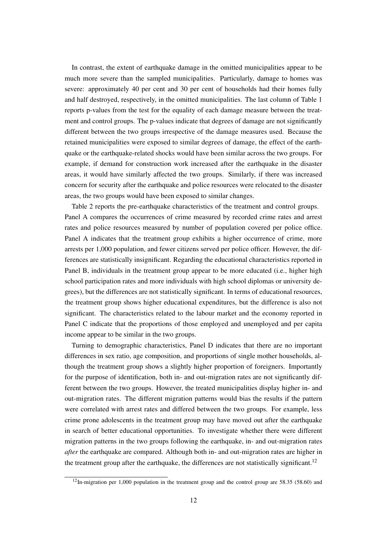In contrast, the extent of earthquake damage in the omitted municipalities appear to be much more severe than the sampled municipalities. Particularly, damage to homes was severe: approximately 40 per cent and 30 per cent of households had their homes fully and half destroyed, respectively, in the omitted municipalities. The last column of Table 1 reports p-values from the test for the equality of each damage measure between the treatment and control groups. The p-values indicate that degrees of damage are not significantly different between the two groups irrespective of the damage measures used. Because the retained municipalities were exposed to similar degrees of damage, the effect of the earthquake or the earthquake-related shocks would have been similar across the two groups. For example, if demand for construction work increased after the earthquake in the disaster areas, it would have similarly affected the two groups. Similarly, if there was increased concern for security after the earthquake and police resources were relocated to the disaster areas, the two groups would have been exposed to similar changes.

Table 2 reports the pre-earthquake characteristics of the treatment and control groups. Panel A compares the occurrences of crime measured by recorded crime rates and arrest rates and police resources measured by number of population covered per police office. Panel A indicates that the treatment group exhibits a higher occurrence of crime, more arrests per 1,000 population, and fewer citizens served per police officer. However, the differences are statistically insignificant. Regarding the educational characteristics reported in Panel B, individuals in the treatment group appear to be more educated (i.e., higher high school participation rates and more individuals with high school diplomas or university degrees), but the differences are not statistically significant. In terms of educational resources, the treatment group shows higher educational expenditures, but the difference is also not significant. The characteristics related to the labour market and the economy reported in Panel C indicate that the proportions of those employed and unemployed and per capita income appear to be similar in the two groups.

Turning to demographic characteristics, Panel D indicates that there are no important differences in sex ratio, age composition, and proportions of single mother households, although the treatment group shows a slightly higher proportion of foreigners. Importantly for the purpose of identification, both in- and out-migration rates are not significantly different between the two groups. However, the treated municipalities display higher in- and out-migration rates. The different migration patterns would bias the results if the pattern were correlated with arrest rates and differed between the two groups. For example, less crime prone adolescents in the treatment group may have moved out after the earthquake in search of better educational opportunities. To investigate whether there were different migration patterns in the two groups following the earthquake, in- and out-migration rates *after* the earthquake are compared. Although both in- and out-migration rates are higher in the treatment group after the earthquake, the differences are not statistically significant.<sup>12</sup>

 $12$ In-migration per 1,000 population in the treatment group and the control group are 58.35 (58.60) and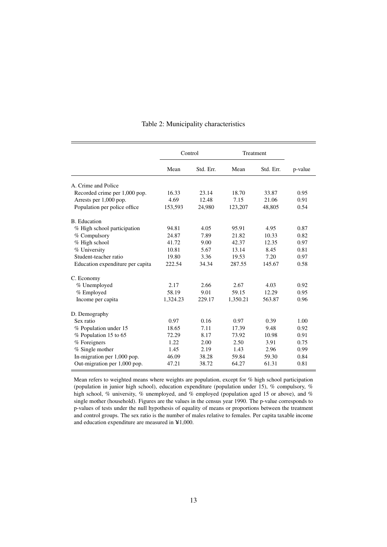|                                  | Control  |           | Treatment |           |         |
|----------------------------------|----------|-----------|-----------|-----------|---------|
|                                  | Mean     | Std. Err. | Mean      | Std. Err. | p-value |
| A. Crime and Police              |          |           |           |           |         |
| Recorded crime per 1,000 pop.    | 16.33    | 23.14     | 18.70     | 33.87     | 0.95    |
| Arrests per 1,000 pop.           | 4.69     | 12.48     | 7.15      | 21.06     | 0.91    |
| Population per police office     | 153,593  | 24,980    | 123,207   | 48,805    | 0.54    |
| <b>B.</b> Education              |          |           |           |           |         |
| % High school participation      | 94.81    | 4.05      | 95.91     | 4.95      | 0.87    |
| % Compulsory                     | 24.87    | 7.89      | 21.82     | 10.33     | 0.82    |
| % High school                    | 41.72    | 9.00      | 42.37     | 12.35     | 0.97    |
| % University                     | 10.81    | 5.67      | 13.14     | 8.45      | 0.81    |
| Student-teacher ratio            | 19.80    | 3.36      | 19.53     | 7.20      | 0.97    |
| Education expenditure per capita | 222.54   | 34.34     | 287.55    | 145.67    | 0.58    |
| C. Economy                       |          |           |           |           |         |
| % Unemployed                     | 2.17     | 2.66      | 2.67      | 4.03      | 0.92    |
| % Employed                       | 58.19    | 9.01      | 59.15     | 12.29     | 0.95    |
| Income per capita                | 1,324.23 | 229.17    | 1,350.21  | 563.87    | 0.96    |
| D. Demography                    |          |           |           |           |         |
| Sex ratio                        | 0.97     | 0.16      | 0.97      | 0.39      | 1.00    |
| % Population under 15            | 18.65    | 7.11      | 17.39     | 9.48      | 0.92    |
| % Population 15 to 65            | 72.29    | 8.17      | 73.92     | 10.98     | 0.91    |
| % Foreigners                     | 1.22     | 2.00      | 2.50      | 3.91      | 0.75    |
| % Single mother                  | 1.45     | 2.19      | 1.43      | 2.96      | 0.99    |
| In-migration per 1,000 pop.      | 46.09    | 38.28     | 59.84     | 59.30     | 0.84    |
| Out-migration per 1,000 pop.     | 47.21    | 38.72     | 64.27     | 61.31     | 0.81    |

#### Table 2: Municipality characteristics

Mean refers to weighted means where weights are population, except for % high school participation (population in junior high school), education expenditure (population under 15), % compulsory, % high school, % university, % unemployed, and % employed (population aged 15 or above), and % single mother (household). Figures are the values in the census year 1990. The p-value corresponds to p-values of tests under the null hypothesis of equality of means or proportions between the treatment and control groups. The sex ratio is the number of males relative to females. Per capita taxable income and education expenditure are measured in  $\yen 1,000$ .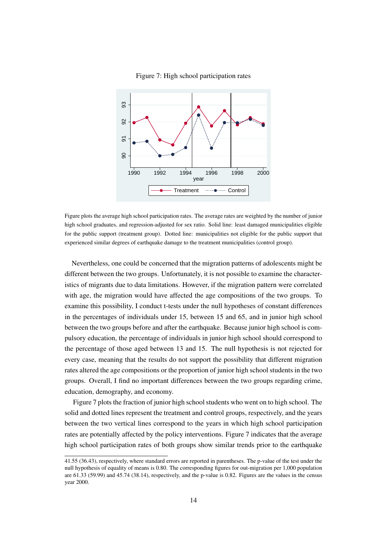

Figure 7: High school participation rates

Figure plots the average high school participation rates. The average rates are weighted by the number of junior high school graduates, and regression-adjusted for sex ratio. Solid line: least damaged municipalities eligible for the public support (treatment group). Dotted line: municipalities not eligible for the public support that experienced similar degrees of earthquake damage to the treatment municipalities (control group).

Nevertheless, one could be concerned that the migration patterns of adolescents might be different between the two groups. Unfortunately, it is not possible to examine the characteristics of migrants due to data limitations. However, if the migration pattern were correlated with age, the migration would have affected the age compositions of the two groups. To examine this possibility, I conduct t-tests under the null hypotheses of constant differences in the percentages of individuals under 15, between 15 and 65, and in junior high school between the two groups before and after the earthquake. Because junior high school is compulsory education, the percentage of individuals in junior high school should correspond to the percentage of those aged between 13 and 15. The null hypothesis is not rejected for every case, meaning that the results do not support the possibility that different migration rates altered the age compositions or the proportion of junior high school students in the two groups. Overall, I find no important differences between the two groups regarding crime, education, demography, and economy.

Figure 7 plots the fraction of junior high school students who went on to high school. The solid and dotted lines represent the treatment and control groups, respectively, and the years between the two vertical lines correspond to the years in which high school participation rates are potentially affected by the policy interventions. Figure 7 indicates that the average high school participation rates of both groups show similar trends prior to the earthquake

<sup>41.55 (36.43),</sup> respectively, where standard errors are reported in parentheses. The p-value of the test under the null hypothesis of equality of means is 0.80. The corresponding figures for out-migration per 1,000 population are 61.33 (59.99) and 45.74 (38.14), respectively, and the p-value is 0.82. Figures are the values in the census year 2000.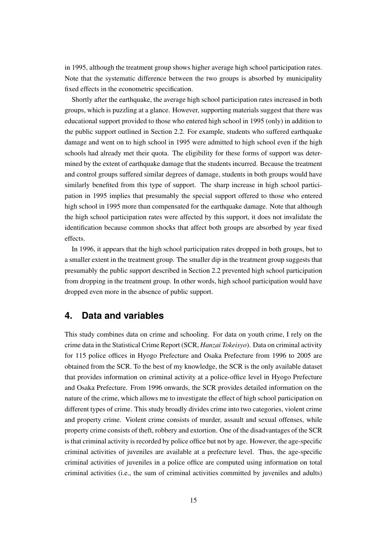in 1995, although the treatment group shows higher average high school participation rates. Note that the systematic difference between the two groups is absorbed by municipality fixed effects in the econometric specification.

Shortly after the earthquake, the average high school participation rates increased in both groups, which is puzzling at a glance. However, supporting materials suggest that there was educational support provided to those who entered high school in 1995 (only) in addition to the public support outlined in Section 2.2. For example, students who suffered earthquake damage and went on to high school in 1995 were admitted to high school even if the high schools had already met their quota. The eligibility for these forms of support was determined by the extent of earthquake damage that the students incurred. Because the treatment and control groups suffered similar degrees of damage, students in both groups would have similarly benefited from this type of support. The sharp increase in high school participation in 1995 implies that presumably the special support offered to those who entered high school in 1995 more than compensated for the earthquake damage. Note that although the high school participation rates were affected by this support, it does not invalidate the identification because common shocks that affect both groups are absorbed by year fixed effects.

In 1996, it appears that the high school participation rates dropped in both groups, but to a smaller extent in the treatment group. The smaller dip in the treatment group suggests that presumably the public support described in Section 2.2 prevented high school participation from dropping in the treatment group. In other words, high school participation would have dropped even more in the absence of public support.

# **4. Data and variables**

This study combines data on crime and schooling. For data on youth crime, I rely on the crime data in the Statistical Crime Report (SCR, *Hanzai Tokeisyo*). Data on criminal activity for 115 police offices in Hyogo Prefecture and Osaka Prefecture from 1996 to 2005 are obtained from the SCR. To the best of my knowledge, the SCR is the only available dataset that provides information on criminal activity at a police-office level in Hyogo Prefecture and Osaka Prefecture. From 1996 onwards, the SCR provides detailed information on the nature of the crime, which allows me to investigate the effect of high school participation on different types of crime. This study broadly divides crime into two categories, violent crime and property crime. Violent crime consists of murder, assault and sexual offenses, while property crime consists of theft, robbery and extortion. One of the disadvantages of the SCR is that criminal activity is recorded by police office but not by age. However, the age-specific criminal activities of juveniles are available at a prefecture level. Thus, the age-specific criminal activities of juveniles in a police office are computed using information on total criminal activities (i.e., the sum of criminal activities committed by juveniles and adults)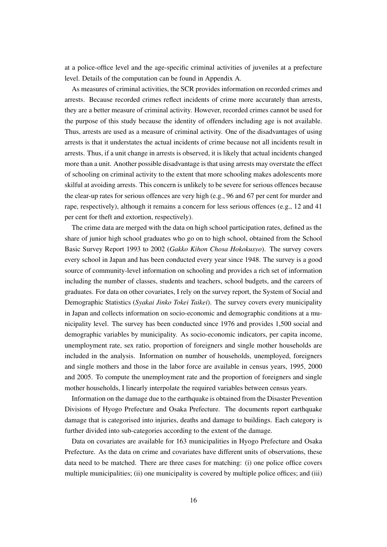at a police-office level and the age-specific criminal activities of juveniles at a prefecture level. Details of the computation can be found in Appendix A.

As measures of criminal activities, the SCR provides information on recorded crimes and arrests. Because recorded crimes reflect incidents of crime more accurately than arrests, they are a better measure of criminal activity. However, recorded crimes cannot be used for the purpose of this study because the identity of offenders including age is not available. Thus, arrests are used as a measure of criminal activity. One of the disadvantages of using arrests is that it understates the actual incidents of crime because not all incidents result in arrests. Thus, if a unit change in arrests is observed, it is likely that actual incidents changed more than a unit. Another possible disadvantage is that using arrests may overstate the effect of schooling on criminal activity to the extent that more schooling makes adolescents more skilful at avoiding arrests. This concern is unlikely to be severe for serious offences because the clear-up rates for serious offences are very high (e.g., 96 and 67 per cent for murder and rape, respectively), although it remains a concern for less serious offences (e.g., 12 and 41 per cent for theft and extortion, respectively).

The crime data are merged with the data on high school participation rates, defined as the share of junior high school graduates who go on to high school, obtained from the School Basic Survey Report 1993 to 2002 (*Gakko Kihon Chosa Hokokusyo*). The survey covers every school in Japan and has been conducted every year since 1948. The survey is a good source of community-level information on schooling and provides a rich set of information including the number of classes, students and teachers, school budgets, and the careers of graduates. For data on other covariates, I rely on the survey report, the System of Social and Demographic Statistics (*Syakai Jinko Tokei Taikei*). The survey covers every municipality in Japan and collects information on socio-economic and demographic conditions at a municipality level. The survey has been conducted since 1976 and provides 1,500 social and demographic variables by municipality. As socio-economic indicators, per capita income, unemployment rate, sex ratio, proportion of foreigners and single mother households are included in the analysis. Information on number of households, unemployed, foreigners and single mothers and those in the labor force are available in census years, 1995, 2000 and 2005. To compute the unemployment rate and the proportion of foreigners and single mother households, I linearly interpolate the required variables between census years.

Information on the damage due to the earthquake is obtained from the Disaster Prevention Divisions of Hyogo Prefecture and Osaka Prefecture. The documents report earthquake damage that is categorised into injuries, deaths and damage to buildings. Each category is further divided into sub-categories according to the extent of the damage.

Data on covariates are available for 163 municipalities in Hyogo Prefecture and Osaka Prefecture. As the data on crime and covariates have different units of observations, these data need to be matched. There are three cases for matching: (i) one police office covers multiple municipalities; (ii) one municipality is covered by multiple police offices; and (iii)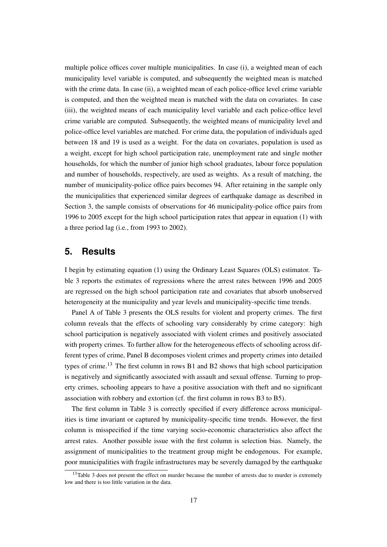multiple police offices cover multiple municipalities. In case (i), a weighted mean of each municipality level variable is computed, and subsequently the weighted mean is matched with the crime data. In case (ii), a weighted mean of each police-office level crime variable is computed, and then the weighted mean is matched with the data on covariates. In case (iii), the weighted means of each municipality level variable and each police-office level crime variable are computed. Subsequently, the weighted means of municipality level and police-office level variables are matched. For crime data, the population of individuals aged between 18 and 19 is used as a weight. For the data on covariates, population is used as a weight, except for high school participation rate, unemployment rate and single mother households, for which the number of junior high school graduates, labour force population and number of households, respectively, are used as weights. As a result of matching, the number of municipality-police office pairs becomes 94. After retaining in the sample only the municipalities that experienced similar degrees of earthquake damage as described in Section 3, the sample consists of observations for 46 municipality-police office pairs from 1996 to 2005 except for the high school participation rates that appear in equation (1) with a three period lag (i.e., from 1993 to 2002).

# **5. Results**

I begin by estimating equation (1) using the Ordinary Least Squares (OLS) estimator. Table 3 reports the estimates of regressions where the arrest rates between 1996 and 2005 are regressed on the high school participation rate and covariates that absorb unobserved heterogeneity at the municipality and year levels and municipality-specific time trends.

Panel A of Table 3 presents the OLS results for violent and property crimes. The first column reveals that the effects of schooling vary considerably by crime category: high school participation is negatively associated with violent crimes and positively associated with property crimes. To further allow for the heterogeneous effects of schooling across different types of crime, Panel B decomposes violent crimes and property crimes into detailed types of crime.<sup>13</sup> The first column in rows B1 and B2 shows that high school participation is negatively and significantly associated with assault and sexual offense. Turning to property crimes, schooling appears to have a positive association with theft and no significant association with robbery and extortion (cf. the first column in rows B3 to B5).

The first column in Table 3 is correctly specified if every difference across municipalities is time invariant or captured by municipality-specific time trends. However, the first column is misspecified if the time varying socio-economic characteristics also affect the arrest rates. Another possible issue with the first column is selection bias. Namely, the assignment of municipalities to the treatment group might be endogenous. For example, poor municipalities with fragile infrastructures may be severely damaged by the earthquake

 $13$ Table 3 does not present the effect on murder because the number of arrests due to murder is extremely low and there is too little variation in the data.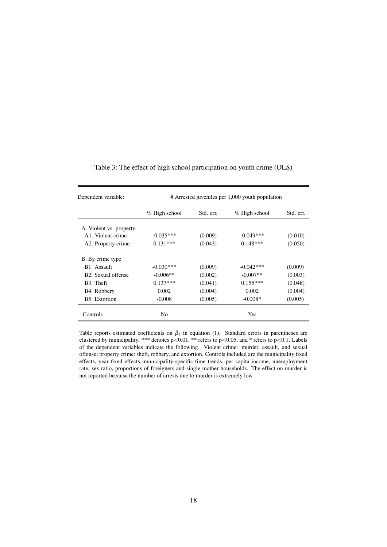| Dependent variable:             | # Arrested juveniles per 1,000 youth population |           |               |           |  |  |  |
|---------------------------------|-------------------------------------------------|-----------|---------------|-----------|--|--|--|
|                                 | % High school                                   | Std. err. | % High school | Std. err. |  |  |  |
| A. Violent vs. property         |                                                 |           |               |           |  |  |  |
| A <sub>1</sub> . Violent crime  | $-0.035***$                                     | (0.009)   | $-0.049***$   | (0.010)   |  |  |  |
| A2. Property crime              | $0.131***$                                      | (0.043)   | $0.148***$    | (0.050)   |  |  |  |
| B. By crime type                |                                                 |           |               |           |  |  |  |
| B <sub>1</sub> . Assault        | $-0.030***$                                     | (0.009)   | $-0.042***$   | (0.009)   |  |  |  |
| B <sub>2</sub> . Sexual offense | $-0.006**$                                      | (0.002)   | $-0.007**$    | (0.003)   |  |  |  |
| B <sub>3</sub> . Theft          | $0.137***$                                      | (0.041)   | $0.155***$    | (0.048)   |  |  |  |
| B <sub>4</sub> . Robbery        | 0.002                                           | (0.004)   | 0.002         | (0.004)   |  |  |  |
| B5. Extortion                   | $-0.008$                                        | (0.005)   | $-0.008*$     | (0.005)   |  |  |  |
| Controls                        | No                                              |           | Yes           |           |  |  |  |

Table 3: The effect of high school participation on youth crime (OLS)

Table reports estimated coefficients on  $\beta_1$  in equation (1). Standard errors in parentheses are clustered by municipality. \*\*\* denotes p<0.01, \*\* refers to p<0.05, and \* refers to p<0.1. Labels of the dependent variables indicate the following. Violent crime: murder, assault, and sexual offense; property crime: theft, robbery, and extortion. Controls included are the municipality fixed effects, year fixed effects, municipality-specific time trends, per capita income, unemployment rate, sex ratio, proportions of foreigners and single mother households. The effect on murder is not reported because the number of arrests due to murder is extremely low.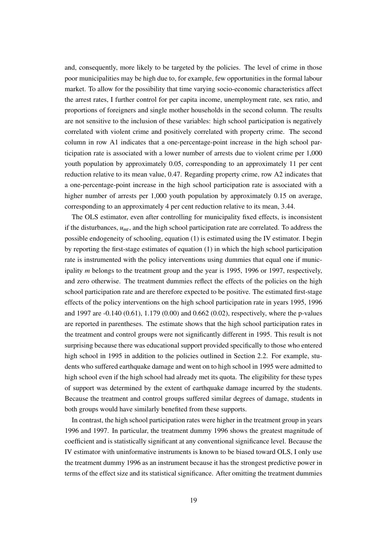and, consequently, more likely to be targeted by the policies. The level of crime in those poor municipalities may be high due to, for example, few opportunities in the formal labour market. To allow for the possibility that time varying socio-economic characteristics affect the arrest rates, I further control for per capita income, unemployment rate, sex ratio, and proportions of foreigners and single mother households in the second column. The results are not sensitive to the inclusion of these variables: high school participation is negatively correlated with violent crime and positively correlated with property crime. The second column in row A1 indicates that a one-percentage-point increase in the high school participation rate is associated with a lower number of arrests due to violent crime per 1,000 youth population by approximately 0.05, corresponding to an approximately 11 per cent reduction relative to its mean value, 0.47. Regarding property crime, row A2 indicates that a one-percentage-point increase in the high school participation rate is associated with a higher number of arrests per 1,000 youth population by approximately 0.15 on average, corresponding to an approximately 4 per cent reduction relative to its mean, 3.44.

The OLS estimator, even after controlling for municipality fixed effects, is inconsistent if the disturbances, *umt*, and the high school participation rate are correlated. To address the possible endogeneity of schooling, equation (1) is estimated using the IV estimator. I begin by reporting the first-stage estimates of equation (1) in which the high school participation rate is instrumented with the policy interventions using dummies that equal one if municipality *m* belongs to the treatment group and the year is 1995, 1996 or 1997, respectively, and zero otherwise. The treatment dummies reflect the effects of the policies on the high school participation rate and are therefore expected to be positive. The estimated first-stage effects of the policy interventions on the high school participation rate in years 1995, 1996 and 1997 are -0.140 (0.61), 1.179 (0.00) and 0.662 (0.02), respectively, where the p-values are reported in parentheses. The estimate shows that the high school participation rates in the treatment and control groups were not significantly different in 1995. This result is not surprising because there was educational support provided specifically to those who entered high school in 1995 in addition to the policies outlined in Section 2.2. For example, students who suffered earthquake damage and went on to high school in 1995 were admitted to high school even if the high school had already met its quota. The eligibility for these types of support was determined by the extent of earthquake damage incurred by the students. Because the treatment and control groups suffered similar degrees of damage, students in both groups would have similarly benefited from these supports.

In contrast, the high school participation rates were higher in the treatment group in years 1996 and 1997. In particular, the treatment dummy 1996 shows the greatest magnitude of coefficient and is statistically significant at any conventional significance level. Because the IV estimator with uninformative instruments is known to be biased toward OLS, I only use the treatment dummy 1996 as an instrument because it has the strongest predictive power in terms of the effect size and its statistical significance. After omitting the treatment dummies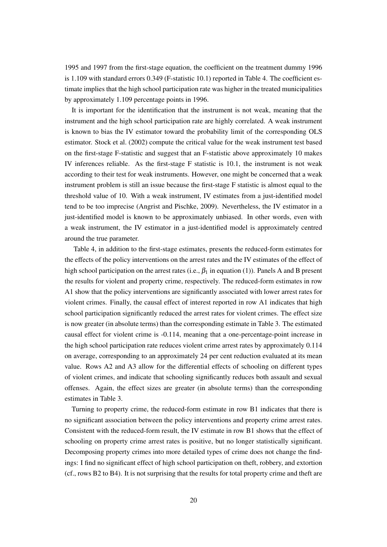1995 and 1997 from the first-stage equation, the coefficient on the treatment dummy 1996 is 1.109 with standard errors 0.349 (F-statistic 10.1) reported in Table 4. The coefficient estimate implies that the high school participation rate was higher in the treated municipalities by approximately 1.109 percentage points in 1996.

It is important for the identification that the instrument is not weak, meaning that the instrument and the high school participation rate are highly correlated. A weak instrument is known to bias the IV estimator toward the probability limit of the corresponding OLS estimator. Stock et al. (2002) compute the critical value for the weak instrument test based on the first-stage F-statistic and suggest that an F-statistic above approximately 10 makes IV inferences reliable. As the first-stage F statistic is 10.1, the instrument is not weak according to their test for weak instruments. However, one might be concerned that a weak instrument problem is still an issue because the first-stage F statistic is almost equal to the threshold value of 10. With a weak instrument, IV estimates from a just-identified model tend to be too imprecise (Angrist and Pischke, 2009). Nevertheless, the IV estimator in a just-identified model is known to be approximately unbiased. In other words, even with a weak instrument, the IV estimator in a just-identified model is approximately centred around the true parameter.

Table 4, in addition to the first-stage estimates, presents the reduced-form estimates for the effects of the policy interventions on the arrest rates and the IV estimates of the effect of high school participation on the arrest rates (i.e.,  $\beta_1$  in equation (1)). Panels A and B present the results for violent and property crime, respectively. The reduced-form estimates in row A1 show that the policy interventions are significantly associated with lower arrest rates for violent crimes. Finally, the causal effect of interest reported in row A1 indicates that high school participation significantly reduced the arrest rates for violent crimes. The effect size is now greater (in absolute terms) than the corresponding estimate in Table 3. The estimated causal effect for violent crime is -0.114, meaning that a one-percentage-point increase in the high school participation rate reduces violent crime arrest rates by approximately 0.114 on average, corresponding to an approximately 24 per cent reduction evaluated at its mean value. Rows A2 and A3 allow for the differential effects of schooling on different types of violent crimes, and indicate that schooling significantly reduces both assault and sexual offenses. Again, the effect sizes are greater (in absolute terms) than the corresponding estimates in Table 3.

Turning to property crime, the reduced-form estimate in row B1 indicates that there is no significant association between the policy interventions and property crime arrest rates. Consistent with the reduced-form result, the IV estimate in row B1 shows that the effect of schooling on property crime arrest rates is positive, but no longer statistically significant. Decomposing property crimes into more detailed types of crime does not change the findings: I find no significant effect of high school participation on theft, robbery, and extortion (cf., rows B2 to B4). It is not surprising that the results for total property crime and theft are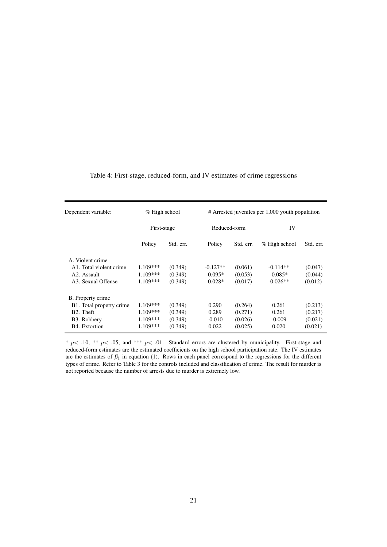| Dependent variable:                  | $%$ High school<br>First-stage |           | # Arrested juveniles per 1,000 youth population |           |               |           |  |  |
|--------------------------------------|--------------------------------|-----------|-------------------------------------------------|-----------|---------------|-----------|--|--|
|                                      |                                |           | Reduced-form                                    |           | IV            |           |  |  |
|                                      | Policy                         | Std. err. | Policy                                          | Std. err. | % High school | Std. err. |  |  |
| A. Violent crime                     |                                |           |                                                 |           |               |           |  |  |
| A <sub>1</sub> . Total violent crime | $1.109***$                     | (0.349)   | $-0.127**$                                      | (0.061)   | $-0.114**$    | (0.047)   |  |  |
| A <sub>2</sub> . Assault             | $1.109***$                     | (0.349)   | $-0.095*$                                       | (0.053)   | $-0.085*$     | (0.044)   |  |  |
| A3. Sexual Offense                   | $1.109***$                     | (0.349)   | $-0.028*$                                       | (0.017)   | $-0.026**$    | (0.012)   |  |  |
| B. Property crime                    |                                |           |                                                 |           |               |           |  |  |
| B1. Total property crime             | $1.109***$                     | (0.349)   | 0.290                                           | (0.264)   | 0.261         | (0.213)   |  |  |
| B <sub>2</sub> . Theft               | $1.109***$                     | (0.349)   | 0.289                                           | (0.271)   | 0.261         | (0.217)   |  |  |
| B3. Robbery                          | $1.109***$                     | (0.349)   | $-0.010$                                        | (0.026)   | $-0.009$      | (0.021)   |  |  |
| B4. Extortion                        | $1.109***$                     | (0.349)   | 0.022                                           | (0.025)   | 0.020         | (0.021)   |  |  |

### Table 4: First-stage, reduced-form, and IV estimates of crime regressions

\* *p*< .10, \*\* *p*< .05, and \*\*\* *p*< .01. Standard errors are clustered by municipality. First-stage and reduced-form estimates are the estimated coefficients on the high school participation rate. The IV estimates are the estimates of  $\beta_1$  in equation (1). Rows in each panel correspond to the regressions for the different types of crime. Refer to Table 3 for the controls included and classification of crime. The result for murder is not reported because the number of arrests due to murder is extremely low.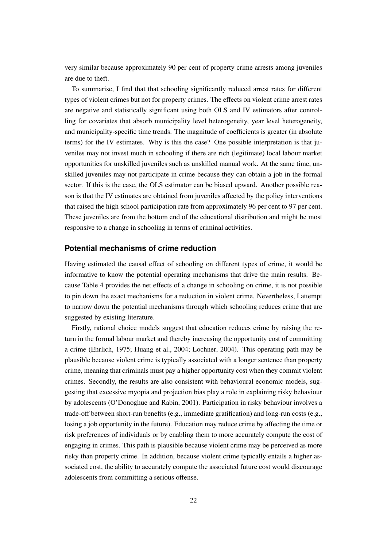very similar because approximately 90 per cent of property crime arrests among juveniles are due to theft.

To summarise, I find that that schooling significantly reduced arrest rates for different types of violent crimes but not for property crimes. The effects on violent crime arrest rates are negative and statistically significant using both OLS and IV estimators after controlling for covariates that absorb municipality level heterogeneity, year level heterogeneity, and municipality-specific time trends. The magnitude of coefficients is greater (in absolute terms) for the IV estimates. Why is this the case? One possible interpretation is that juveniles may not invest much in schooling if there are rich (legitimate) local labour market opportunities for unskilled juveniles such as unskilled manual work. At the same time, unskilled juveniles may not participate in crime because they can obtain a job in the formal sector. If this is the case, the OLS estimator can be biased upward. Another possible reason is that the IV estimates are obtained from juveniles affected by the policy interventions that raised the high school participation rate from approximately 96 per cent to 97 per cent. These juveniles are from the bottom end of the educational distribution and might be most responsive to a change in schooling in terms of criminal activities.

#### **Potential mechanisms of crime reduction**

Having estimated the causal effect of schooling on different types of crime, it would be informative to know the potential operating mechanisms that drive the main results. Because Table 4 provides the net effects of a change in schooling on crime, it is not possible to pin down the exact mechanisms for a reduction in violent crime. Nevertheless, I attempt to narrow down the potential mechanisms through which schooling reduces crime that are suggested by existing literature.

Firstly, rational choice models suggest that education reduces crime by raising the return in the formal labour market and thereby increasing the opportunity cost of committing a crime (Ehrlich, 1975; Huang et al., 2004; Lochner, 2004). This operating path may be plausible because violent crime is typically associated with a longer sentence than property crime, meaning that criminals must pay a higher opportunity cost when they commit violent crimes. Secondly, the results are also consistent with behavioural economic models, suggesting that excessive myopia and projection bias play a role in explaining risky behaviour by adolescents (O'Donoghue and Rabin, 2001). Participation in risky behaviour involves a trade-off between short-run benefits (e.g., immediate gratification) and long-run costs (e.g., losing a job opportunity in the future). Education may reduce crime by affecting the time or risk preferences of individuals or by enabling them to more accurately compute the cost of engaging in crimes. This path is plausible because violent crime may be perceived as more risky than property crime. In addition, because violent crime typically entails a higher associated cost, the ability to accurately compute the associated future cost would discourage adolescents from committing a serious offense.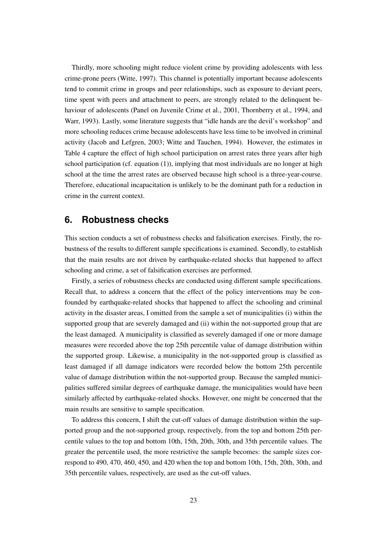Thirdly, more schooling might reduce violent crime by providing adolescents with less crime-prone peers (Witte, 1997). This channel is potentially important because adolescents tend to commit crime in groups and peer relationships, such as exposure to deviant peers, time spent with peers and attachment to peers, are strongly related to the delinquent behaviour of adolescents (Panel on Juvenile Crime et al., 2001, Thornberry et al., 1994, and Warr, 1993). Lastly, some literature suggests that "idle hands are the devil's workshop" and more schooling reduces crime because adolescents have less time to be involved in criminal activity (Jacob and Lefgren, 2003; Witte and Tauchen, 1994). However, the estimates in Table 4 capture the effect of high school participation on arrest rates three years after high school participation (cf. equation  $(1)$ ), implying that most individuals are no longer at high school at the time the arrest rates are observed because high school is a three-year-course. Therefore, educational incapacitation is unlikely to be the dominant path for a reduction in crime in the current context.

# **6. Robustness checks**

This section conducts a set of robustness checks and falsification exercises. Firstly, the robustness of the results to different sample specifications is examined. Secondly, to establish that the main results are not driven by earthquake-related shocks that happened to affect schooling and crime, a set of falsification exercises are performed.

Firstly, a series of robustness checks are conducted using different sample specifications. Recall that, to address a concern that the effect of the policy interventions may be confounded by earthquake-related shocks that happened to affect the schooling and criminal activity in the disaster areas, I omitted from the sample a set of municipalities (i) within the supported group that are severely damaged and (ii) within the not-supported group that are the least damaged. A municipality is classified as severely damaged if one or more damage measures were recorded above the top 25th percentile value of damage distribution within the supported group. Likewise, a municipality in the not-supported group is classified as least damaged if all damage indicators were recorded below the bottom 25th percentile value of damage distribution within the not-supported group. Because the sampled municipalities suffered similar degrees of earthquake damage, the municipalities would have been similarly affected by earthquake-related shocks. However, one might be concerned that the main results are sensitive to sample specification.

To address this concern, I shift the cut-off values of damage distribution within the supported group and the not-supported group, respectively, from the top and bottom 25th percentile values to the top and bottom 10th, 15th, 20th, 30th, and 35th percentile values. The greater the percentile used, the more restrictive the sample becomes: the sample sizes correspond to 490, 470, 460, 450, and 420 when the top and bottom 10th, 15th, 20th, 30th, and 35th percentile values, respectively, are used as the cut-off values.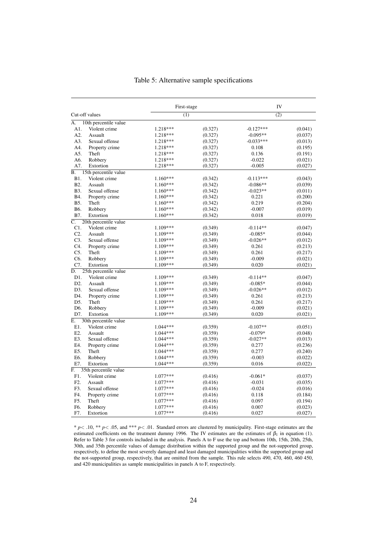|                  |                       | First-stage |         | IV          |         |  |
|------------------|-----------------------|-------------|---------|-------------|---------|--|
| Cut-off values   |                       | (1)         |         | (2)         |         |  |
| A.               | 10th percentile value |             |         |             |         |  |
| A1.              | Violent crime         | 1.218***    | (0.327) | $-0.127***$ | (0.041) |  |
| A2.              | Assault               | 1.218***    | (0.327) | $-0.095**$  | (0.037) |  |
| A3.              | Sexual offense        | 1.218***    | (0.327) | $-0.033***$ | (0.013) |  |
| A4.              | Property crime        | 1.218***    | (0.327) | 0.108       | (0.195) |  |
| A5.              | Theft                 | $1.218***$  | (0.327) | 0.136       | (0.191) |  |
| A6.              | Robbery               | 1.218***    | (0.327) | $-0.022$    | (0.021) |  |
| A7.              | Extortion             | 1.218***    | (0.327) | $-0.005$    | (0.027) |  |
| В.               | 15th percentile value |             |         |             |         |  |
| B1.              | Violent crime         | $1.160***$  | (0.342) | $-0.113***$ | (0.043) |  |
| B <sub>2</sub> . | Assault               | 1.160***    | (0.342) | $-0.086**$  | (0.039) |  |
| B3.              | Sexual offense        | $1.160***$  | (0.342) | $-0.023**$  | (0.011) |  |
| B4.              | Property crime        | $1.160***$  | (0.342) | 0.221       | (0.200) |  |
| B5.              | Theft                 | $1.160***$  | (0.342) | 0.219       | (0.204) |  |
| B6.              | Robbery               | $1.160***$  | (0.342) | $-0.007$    | (0.019) |  |
| B7.              | Extortion             | $1.160***$  | (0.342) | 0.018       | (0.019) |  |
| $\overline{C}$ . | 20th percentile value |             |         |             |         |  |
| C1.              | Violent crime         | 1.109***    | (0.349) | $-0.114**$  | (0.047) |  |
| $C2$ .           | Assault               | $1.109***$  | (0.349) | $-0.085*$   | (0.044) |  |
| C <sub>3</sub>   | Sexual offense        | $1.109***$  | (0.349) | $-0.026**$  | (0.012) |  |
| C4.              | Property crime        | 1.109***    | (0.349) | 0.261       | (0.213) |  |
| $C5$ .           | Theft                 | 1.109***    | (0.349) | 0.261       | (0.217) |  |
| C6.              | Robbery               | 1.109***    | (0.349) | $-0.009$    | (0.021) |  |
| C7.              | Extortion             | 1.109***    | (0.349) | 0.020       | (0.021) |  |
| D.               | 25th percentile value |             |         |             |         |  |
| D1.              | Violent crime         | 1.109***    | (0.349) | $-0.114**$  | (0.047) |  |
| D2.              | Assault               | 1.109***    | (0.349) | $-0.085*$   | (0.044) |  |
| D3.              | Sexual offense        | $1.109***$  | (0.349) | $-0.026**$  | (0.012) |  |
| D4.              | Property crime        | 1.109***    | (0.349) | 0.261       | (0.213) |  |
| D <sub>5</sub> . | Theft                 | 1.109***    | (0.349) | 0.261       | (0.217) |  |
| D6.              | Robbery               | 1.109***    | (0.349) | $-0.009$    | (0.021) |  |
| D7.              | Extortion             | $1.109***$  | (0.349) | 0.020       | (0.021) |  |
| E.               | 30th percentile value |             |         |             |         |  |
| E1.              | Violent crime         | $1.044***$  | (0.359) | $-0.107**$  | (0.051) |  |
| E2.              | Assault               | 1.044***    | (0.359) | $-0.079*$   | (0.048) |  |
| E3.              | Sexual offense        | 1.044 ***   | (0.359) | $-0.027**$  | (0.013) |  |
| E4.              | Property crime        | $1.044***$  | (0.359) | 0.277       | (0.236) |  |
| E5.              | Theft                 | 1.044***    | (0.359) | 0.277       | (0.240) |  |
| E6.              | Robbery               | 1.044***    | (0.359) | $-0.003$    | (0.022) |  |
| E7.              | Extortion             | $1.044***$  | (0.359) | 0.016       | (0.022) |  |
| F.               | 35th percentile value |             |         |             |         |  |
| F1.              | Violent crime         | $1.077***$  | (0.416) | $-0.061*$   | (0.037) |  |
| F <sub>2</sub> . | Assault               | $1.077***$  | (0.416) | $-0.031$    | (0.035) |  |
| F3.              | Sexual offense        | $1.077***$  | (0.416) | $-0.024$    | (0.016) |  |
| F4.              | Property crime        | $1.077***$  | (0.416) | 0.118       | (0.184) |  |
| F5.              | Theft                 | 1.077***    | (0.416) | 0.097       | (0.194) |  |
| F6.              | Robbery               | 1.077***    | (0.416) | 0.007       | (0.023) |  |
| F7.              | Extortion             | $1.077***$  | (0.416) | 0.027       | (0.027) |  |

#### Table 5: Alternative sample specifications

\* *p*< .10, \*\* *p*< .05, and \*\*\* *p*< .01. Standard errors are clustered by municipality. First-stage estimates are the estimated coefficients on the treatment dummy 1996. The IV estimates are the estimates of  $\beta_1$  in equation (1). Refer to Table 3 for controls included in the analysis. Panels A to F use the top and bottom 10th, 15th, 20th, 25th, 30th, and 35th percentile values of damage distribution within the supported group and the not-supported group, respectively, to define the most severely damaged and least damaged municipalities within the supported group and the not-supported group, respectively, that are omitted from the sample. This rule selects 490, 470, 460, 460 450, and 420 municipalities as sample municipalities in panels A to F, respectively.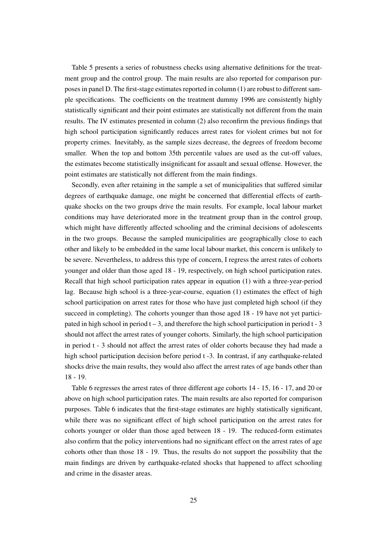Table 5 presents a series of robustness checks using alternative definitions for the treatment group and the control group. The main results are also reported for comparison purposes in panel D. The first-stage estimates reported in column (1) are robust to different sample specifications. The coefficients on the treatment dummy 1996 are consistently highly statistically significant and their point estimates are statistically not different from the main results. The IV estimates presented in column (2) also reconfirm the previous findings that high school participation significantly reduces arrest rates for violent crimes but not for property crimes. Inevitably, as the sample sizes decrease, the degrees of freedom become smaller. When the top and bottom 35th percentile values are used as the cut-off values, the estimates become statistically insignificant for assault and sexual offense. However, the point estimates are statistically not different from the main findings.

Secondly, even after retaining in the sample a set of municipalities that suffered similar degrees of earthquake damage, one might be concerned that differential effects of earthquake shocks on the two groups drive the main results. For example, local labour market conditions may have deteriorated more in the treatment group than in the control group, which might have differently affected schooling and the criminal decisions of adolescents in the two groups. Because the sampled municipalities are geographically close to each other and likely to be embedded in the same local labour market, this concern is unlikely to be severe. Nevertheless, to address this type of concern, I regress the arrest rates of cohorts younger and older than those aged 18 - 19, respectively, on high school participation rates. Recall that high school participation rates appear in equation (1) with a three-year-period lag. Because high school is a three-year-course, equation (1) estimates the effect of high school participation on arrest rates for those who have just completed high school (if they succeed in completing). The cohorts younger than those aged 18 - 19 have not yet participated in high school in period  $t - 3$ , and therefore the high school participation in period  $t - 3$ should not affect the arrest rates of younger cohorts. Similarly, the high school participation in period t - 3 should not affect the arrest rates of older cohorts because they had made a high school participation decision before period t -3. In contrast, if any earthquake-related shocks drive the main results, they would also affect the arrest rates of age bands other than 18 - 19.

Table 6 regresses the arrest rates of three different age cohorts 14 - 15, 16 - 17, and 20 or above on high school participation rates. The main results are also reported for comparison purposes. Table 6 indicates that the first-stage estimates are highly statistically significant, while there was no significant effect of high school participation on the arrest rates for cohorts younger or older than those aged between 18 - 19. The reduced-form estimates also confirm that the policy interventions had no significant effect on the arrest rates of age cohorts other than those 18 - 19. Thus, the results do not support the possibility that the main findings are driven by earthquake-related shocks that happened to affect schooling and crime in the disaster areas.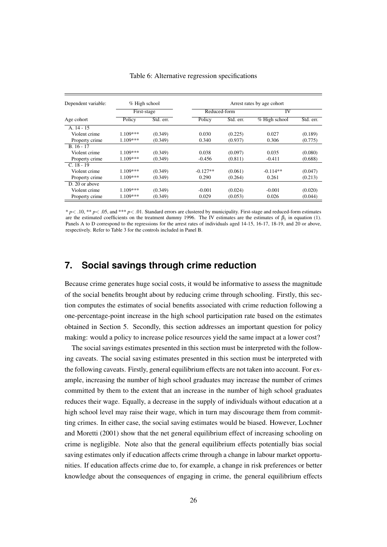| Dependent variable: | $%$ High school<br>First-stage |           | Arrest rates by age cohort |           |            |           |  |  |
|---------------------|--------------------------------|-----------|----------------------------|-----------|------------|-----------|--|--|
|                     |                                |           | Reduced-form               |           | IV         |           |  |  |
| Age cohort          | Policy                         | Std. err. | Policy                     | Std. err. |            | Std. err. |  |  |
| A. 14 - 15          |                                |           |                            |           |            |           |  |  |
| Violent crime       | $1.109***$                     | (0.349)   | 0.030                      | (0.225)   | 0.027      | (0.189)   |  |  |
| Property crime      | $1.109***$                     | (0.349)   | 0.340                      | (0.937)   | 0.306      | (0.775)   |  |  |
| $B.16 - 17$         |                                |           |                            |           |            |           |  |  |
| Violent crime       | $1.109***$                     | (0.349)   | 0.038                      | (0.097)   | 0.035      | (0.080)   |  |  |
| Property crime      | $1.109***$                     | (0.349)   | $-0.456$                   | (0.811)   | $-0.411$   | (0.688)   |  |  |
| $C. 18 - 19$        |                                |           |                            |           |            |           |  |  |
| Violent crime       | $1.109***$                     | (0.349)   | $-0.127**$                 | (0.061)   | $-0.114**$ | (0.047)   |  |  |
| Property crime      | $1.109***$                     | (0.349)   | 0.290                      | (0.264)   | 0.261      | (0.213)   |  |  |
| D. 20 or above      |                                |           |                            |           |            |           |  |  |
| Violent crime       | 1.109***                       | (0.349)   | $-0.001$                   | (0.024)   | $-0.001$   | (0.020)   |  |  |
| Property crime      | $1.109***$                     | (0.349)   | 0.029                      | (0.053)   | 0.026      | (0.044)   |  |  |

Table 6: Alternative regression specifications

\* *p*< .10, \*\* *p*< .05, and \*\*\* *p*< .01. Standard errors are clustered by municipality. First-stage and reduced-form estimates are the estimated coefficients on the treatment dummy 1996. The IV estimates are the estimates of  $\beta_1$  in equation (1). Panels A to D correspond to the regressions for the arrest rates of individuals aged 14-15, 16-17, 18-19, and 20 or above, respectively. Refer to Table 3 for the controls included in Panel B.

# **7. Social savings through crime reduction**

Because crime generates huge social costs, it would be informative to assess the magnitude of the social benefits brought about by reducing crime through schooling. Firstly, this section computes the estimates of social benefits associated with crime reduction following a one-percentage-point increase in the high school participation rate based on the estimates obtained in Section 5. Secondly, this section addresses an important question for policy making: would a policy to increase police resources yield the same impact at a lower cost?

The social savings estimates presented in this section must be interpreted with the following caveats. The social saving estimates presented in this section must be interpreted with the following caveats. Firstly, general equilibrium effects are not taken into account. For example, increasing the number of high school graduates may increase the number of crimes committed by them to the extent that an increase in the number of high school graduates reduces their wage. Equally, a decrease in the supply of individuals without education at a high school level may raise their wage, which in turn may discourage them from committing crimes. In either case, the social saving estimates would be biased. However, Lochner and Moretti (2001) show that the net general equilibrium effect of increasing schooling on crime is negligible. Note also that the general equilibrium effects potentially bias social saving estimates only if education affects crime through a change in labour market opportunities. If education affects crime due to, for example, a change in risk preferences or better knowledge about the consequences of engaging in crime, the general equilibrium effects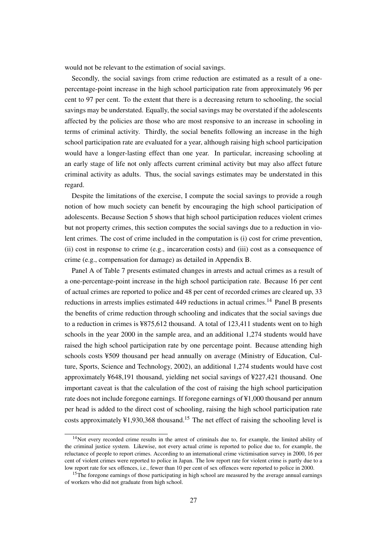would not be relevant to the estimation of social savings.

Secondly, the social savings from crime reduction are estimated as a result of a onepercentage-point increase in the high school participation rate from approximately 96 per cent to 97 per cent. To the extent that there is a decreasing return to schooling, the social savings may be understated. Equally, the social savings may be overstated if the adolescents affected by the policies are those who are most responsive to an increase in schooling in terms of criminal activity. Thirdly, the social benefits following an increase in the high school participation rate are evaluated for a year, although raising high school participation would have a longer-lasting effect than one year. In particular, increasing schooling at an early stage of life not only affects current criminal activity but may also affect future criminal activity as adults. Thus, the social savings estimates may be understated in this regard.

Despite the limitations of the exercise, I compute the social savings to provide a rough notion of how much society can benefit by encouraging the high school participation of adolescents. Because Section 5 shows that high school participation reduces violent crimes but not property crimes, this section computes the social savings due to a reduction in violent crimes. The cost of crime included in the computation is (i) cost for crime prevention, (ii) cost in response to crime (e.g., incarceration costs) and (iii) cost as a consequence of crime (e.g., compensation for damage) as detailed in Appendix B.

Panel A of Table 7 presents estimated changes in arrests and actual crimes as a result of a one-percentage-point increase in the high school participation rate. Because 16 per cent of actual crimes are reported to police and 48 per cent of recorded crimes are cleared up, 33 reductions in arrests implies estimated 449 reductions in actual crimes.<sup>14</sup> Panel B presents the benefits of crime reduction through schooling and indicates that the social savings due to a reduction in crimes is ¥875,612 thousand. A total of 123,411 students went on to high schools in the year 2000 in the sample area, and an additional 1,274 students would have raised the high school participation rate by one percentage point. Because attending high schools costs ¥509 thousand per head annually on average (Ministry of Education, Culture, Sports, Science and Technology, 2002), an additional 1,274 students would have cost approximately ¥648,191 thousand, yielding net social savings of ¥227,421 thousand. One important caveat is that the calculation of the cost of raising the high school participation rate does not include foregone earnings. If foregone earnings of ¥1,000 thousand per annum per head is added to the direct cost of schooling, raising the high school participation rate costs approximately  $\frac{41,930,368 \text{ thousand}}{15}$  The net effect of raising the schooling level is

 $14$ Not every recorded crime results in the arrest of criminals due to, for example, the limited ability of the criminal justice system. Likewise, not every actual crime is reported to police due to, for example, the reluctance of people to report crimes. According to an international crime victimisation survey in 2000, 16 per cent of violent crimes were reported to police in Japan. The low report rate for violent crime is partly due to a low report rate for sex offences, i.e., fewer than 10 per cent of sex offences were reported to police in 2000.

<sup>&</sup>lt;sup>15</sup>The foregone earnings of those participating in high school are measured by the average annual earnings of workers who did not graduate from high school.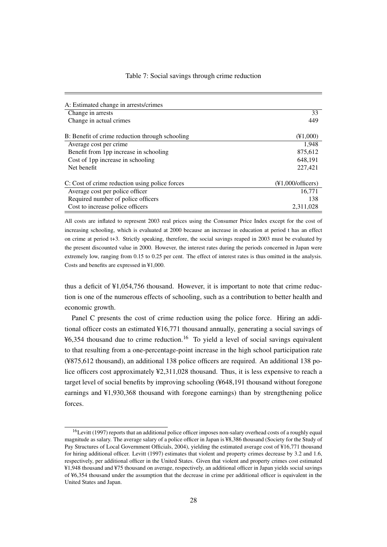| A: Estimated change in arrests/crimes           |                                                          |
|-------------------------------------------------|----------------------------------------------------------|
| Change in arrests                               | 33                                                       |
| Change in actual crimes                         | 449                                                      |
| B: Benefit of crime reduction through schooling | $(\text{\{41,000}})$                                     |
| Average cost per crime                          | 1.948                                                    |
| Benefit from 1pp increase in schooling          | 875,612                                                  |
| Cost of 1pp increase in schooling               | 648.191                                                  |
| Net benefit                                     | 227,421                                                  |
| C: Cost of crime reduction using police forces  | $(\text{\textdegree}1,000/\text{off} \cdot \text{cers})$ |
| Average cost per police officer                 | 16,771                                                   |
| Required number of police officers              | 138                                                      |
| Cost to increase police officers                | 2,311,028                                                |

All costs are inflated to represent 2003 real prices using the Consumer Price Index except for the cost of increasing schooling, which is evaluated at 2000 because an increase in education at period t has an effect on crime at period t+3. Strictly speaking, therefore, the social savings reaped in 2003 must be evaluated by the present discounted value in 2000. However, the interest rates during the periods concerned in Japan were extremely low, ranging from 0.15 to 0.25 per cent. The effect of interest rates is thus omitted in the analysis. Costs and benefits are expressed in ¥1,000.

thus a deficit of ¥1,054,756 thousand. However, it is important to note that crime reduction is one of the numerous effects of schooling, such as a contribution to better health and economic growth.

Panel C presents the cost of crime reduction using the police force. Hiring an additional officer costs an estimated ¥16,771 thousand annually, generating a social savings of  $\frac{46,354}{ }$  thousand due to crime reduction.<sup>16</sup> To yield a level of social savings equivalent to that resulting from a one-percentage-point increase in the high school participation rate (¥875,612 thousand), an additional 138 police officers are required. An additional 138 police officers cost approximately ¥2,311,028 thousand. Thus, it is less expensive to reach a target level of social benefits by improving schooling (¥648,191 thousand without foregone earnings and ¥1,930,368 thousand with foregone earnings) than by strengthening police forces.

<sup>&</sup>lt;sup>16</sup>Levitt (1997) reports that an additional police officer imposes non-salary overhead costs of a roughly equal magnitude as salary. The average salary of a police officer in Japan is ¥8,386 thousand (Society for the Study of Pay Structures of Local Government Officials, 2004), yielding the estimated average cost of ¥16,771 thousand for hiring additional officer. Levitt (1997) estimates that violent and property crimes decrease by 3.2 and 1.6, respectively, per additional officer in the United States. Given that violent and property crimes cost estimated ¥1,948 thousand and ¥75 thousand on average, respectively, an additional officer in Japan yields social savings of ¥6,354 thousand under the assumption that the decrease in crime per additional officer is equivalent in the United States and Japan.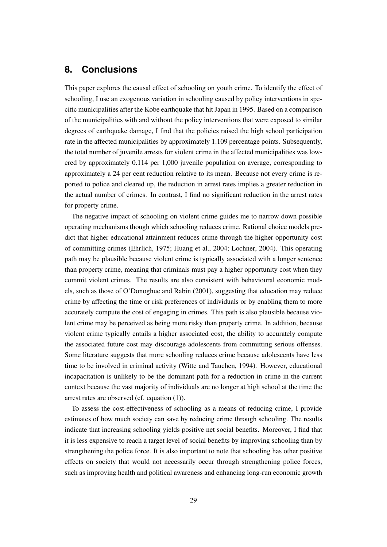# **8. Conclusions**

This paper explores the causal effect of schooling on youth crime. To identify the effect of schooling, I use an exogenous variation in schooling caused by policy interventions in specific municipalities after the Kobe earthquake that hit Japan in 1995. Based on a comparison of the municipalities with and without the policy interventions that were exposed to similar degrees of earthquake damage, I find that the policies raised the high school participation rate in the affected municipalities by approximately 1.109 percentage points. Subsequently, the total number of juvenile arrests for violent crime in the affected municipalities was lowered by approximately 0.114 per 1,000 juvenile population on average, corresponding to approximately a 24 per cent reduction relative to its mean. Because not every crime is reported to police and cleared up, the reduction in arrest rates implies a greater reduction in the actual number of crimes. In contrast, I find no significant reduction in the arrest rates for property crime.

The negative impact of schooling on violent crime guides me to narrow down possible operating mechanisms though which schooling reduces crime. Rational choice models predict that higher educational attainment reduces crime through the higher opportunity cost of committing crimes (Ehrlich, 1975; Huang et al., 2004; Lochner, 2004). This operating path may be plausible because violent crime is typically associated with a longer sentence than property crime, meaning that criminals must pay a higher opportunity cost when they commit violent crimes. The results are also consistent with behavioural economic models, such as those of O'Donoghue and Rabin (2001), suggesting that education may reduce crime by affecting the time or risk preferences of individuals or by enabling them to more accurately compute the cost of engaging in crimes. This path is also plausible because violent crime may be perceived as being more risky than property crime. In addition, because violent crime typically entails a higher associated cost, the ability to accurately compute the associated future cost may discourage adolescents from committing serious offenses. Some literature suggests that more schooling reduces crime because adolescents have less time to be involved in criminal activity (Witte and Tauchen, 1994). However, educational incapacitation is unlikely to be the dominant path for a reduction in crime in the current context because the vast majority of individuals are no longer at high school at the time the arrest rates are observed (cf. equation (1)).

To assess the cost-effectiveness of schooling as a means of reducing crime, I provide estimates of how much society can save by reducing crime through schooling. The results indicate that increasing schooling yields positive net social benefits. Moreover, I find that it is less expensive to reach a target level of social benefits by improving schooling than by strengthening the police force. It is also important to note that schooling has other positive effects on society that would not necessarily occur through strengthening police forces, such as improving health and political awareness and enhancing long-run economic growth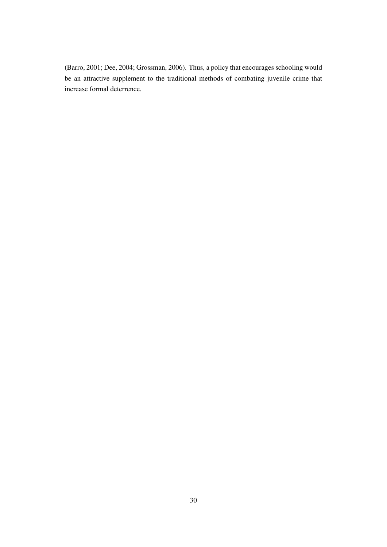(Barro, 2001; Dee, 2004; Grossman, 2006). Thus, a policy that encourages schooling would be an attractive supplement to the traditional methods of combating juvenile crime that increase formal deterrence.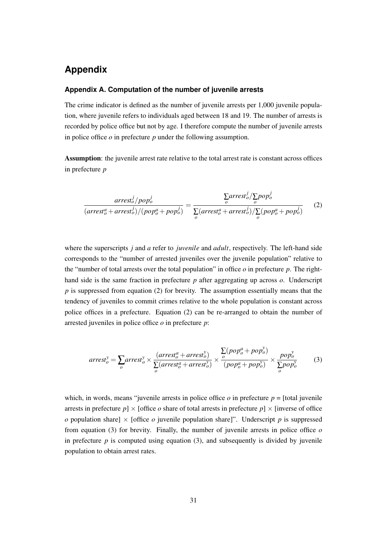# **Appendix**

#### **Appendix A. Computation of the number of juvenile arrests**

The crime indicator is defined as the number of juvenile arrests per 1,000 juvenile population, where juvenile refers to individuals aged between 18 and 19. The number of arrests is recorded by police office but not by age. I therefore compute the number of juvenile arrests in police office *o* in prefecture *p* under the following assumption.

Assumption: the juvenile arrest rate relative to the total arrest rate is constant across offices in prefecture *p*

$$
\frac{\text{arrest}_o^j / pop_o^j}{(\text{arrest}_o^a + \text{arrest}_o^j) / (pop_o^a + pop_o^j)} = \frac{\sum_o \text{arrest}_o^j / \sum_o pop_o^j}{\sum_o (\text{arrest}_o^a + \text{arrest}_o^j) / \sum_o (pop_o^a + pop_o^j)}
$$
(2)

where the superscripts *j* and *a* refer to *juvenile* and *adult*, respectively. The left-hand side corresponds to the "number of arrested juveniles over the juvenile population" relative to the "number of total arrests over the total population" in office *o* in prefecture *p*. The righthand side is the same fraction in prefecture *p* after aggregating up across *o*. Underscript *p* is suppressed from equation (2) for brevity. The assumption essentially means that the tendency of juveniles to commit crimes relative to the whole population is constant across police offices in a prefecture. Equation (2) can be re-arranged to obtain the number of arrested juveniles in police office *o* in prefecture *p*:

$$
arrest_o^y = \sum_o arrest_o^y \times \frac{(arrest_o^a + arrest_o^y)}{\sum_o (arrest_o^a + arrest_o^y)} \times \frac{\sum_o (pop_o^a + pop_o^y)}{(pop_o^a + pop_o^y)} \times \frac{pop_o^y}{\sum_o pop_o^y}
$$
(3)

which, in words, means "juvenile arrests in police office  $o$  in prefecture  $p =$  [total juvenile arrests in prefecture  $p \times$  [office *o* share of total arrests in prefecture  $p \times$  [inverse of office *o* population share]  $\times$  [office *o* juvenile population share]". Underscript *p* is suppressed from equation (3) for brevity. Finally, the number of juvenile arrests in police office *o* in prefecture  $p$  is computed using equation (3), and subsequently is divided by juvenile population to obtain arrest rates.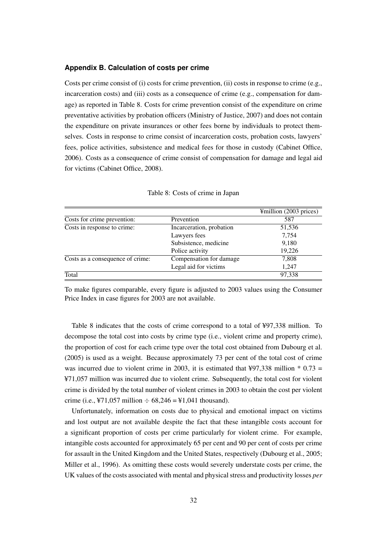#### **Appendix B. Calculation of costs per crime**

Costs per crime consist of (i) costs for crime prevention, (ii) costs in response to crime (e.g., incarceration costs) and (iii) costs as a consequence of crime (e.g., compensation for damage) as reported in Table 8. Costs for crime prevention consist of the expenditure on crime preventative activities by probation officers (Ministry of Justice, 2007) and does not contain the expenditure on private insurances or other fees borne by individuals to protect themselves. Costs in response to crime consist of incarceration costs, probation costs, lawyers' fees, police activities, subsistence and medical fees for those in custody (Cabinet Office, 2006). Costs as a consequence of crime consist of compensation for damage and legal aid for victims (Cabinet Office, 2008).

|                          | ¥million (2003 prices) |
|--------------------------|------------------------|
| Prevention               | 587                    |
| Incarceration, probation | 51,536                 |
| Lawyers fees             | 7,754                  |
| Subsistence, medicine    | 9,180                  |
| Police activity          | 19,226                 |
| Compensation for damage  | 7,808                  |
| Legal aid for victims    | 1.247                  |
|                          | 97,338                 |
|                          |                        |

|  |  | Table 8: Costs of crime in Japan |  |
|--|--|----------------------------------|--|
|  |  |                                  |  |

To make figures comparable, every figure is adjusted to 2003 values using the Consumer Price Index in case figures for 2003 are not available.

Table 8 indicates that the costs of crime correspond to a total of ¥97,338 million. To decompose the total cost into costs by crime type (i.e., violent crime and property crime), the proportion of cost for each crime type over the total cost obtained from Dubourg et al. (2005) is used as a weight. Because approximately 73 per cent of the total cost of crime was incurred due to violent crime in 2003, it is estimated that ¥97,338 million  $*$  0.73 = ¥71,057 million was incurred due to violent crime. Subsequently, the total cost for violent crime is divided by the total number of violent crimes in 2003 to obtain the cost per violent crime (i.e., ¥71,057 million  $\div$  68,246 = ¥1,041 thousand).

Unfortunately, information on costs due to physical and emotional impact on victims and lost output are not available despite the fact that these intangible costs account for a significant proportion of costs per crime particularly for violent crime. For example, intangible costs accounted for approximately 65 per cent and 90 per cent of costs per crime for assault in the United Kingdom and the United States, respectively (Dubourg et al., 2005; Miller et al., 1996). As omitting these costs would severely understate costs per crime, the UK values of the costs associated with mental and physical stress and productivity losses *per*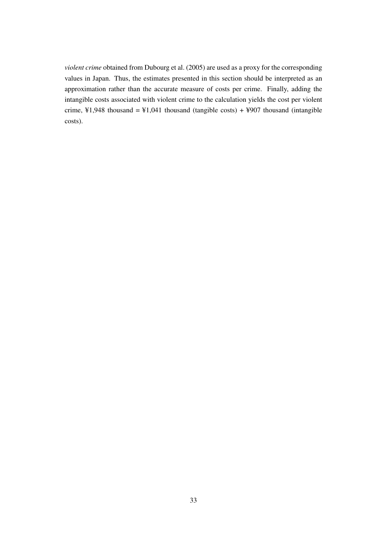*violent crime* obtained from Dubourg et al. (2005) are used as a proxy for the corresponding values in Japan. Thus, the estimates presented in this section should be interpreted as an approximation rather than the accurate measure of costs per crime. Finally, adding the intangible costs associated with violent crime to the calculation yields the cost per violent crime,  $\yen$ 1,948 thousand =  $\yen$ 1,041 thousand (tangible costs) +  $\yen$ 907 thousand (intangible costs).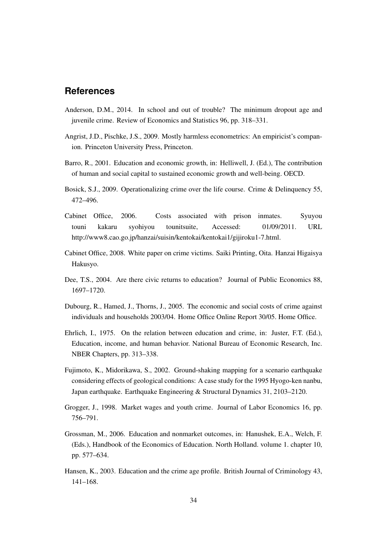### **References**

- Anderson, D.M., 2014. In school and out of trouble? The minimum dropout age and juvenile crime. Review of Economics and Statistics 96, pp. 318–331.
- Angrist, J.D., Pischke, J.S., 2009. Mostly harmless econometrics: An empiricist's companion. Princeton University Press, Princeton.
- Barro, R., 2001. Education and economic growth, in: Helliwell, J. (Ed.), The contribution of human and social capital to sustained economic growth and well-being. OECD.
- Bosick, S.J., 2009. Operationalizing crime over the life course. Crime & Delinquency 55, 472–496.
- Cabinet Office, 2006. Costs associated with prison inmates. Syuyou touni kakaru syohiyou tounitsuite, Accessed: 01/09/2011. URL http://www8.cao.go.jp/hanzai/suisin/kentokai/kentokai1/gijiroku1-7.html.
- Cabinet Office, 2008. White paper on crime victims. Saiki Printing, Oita. Hanzai Higaisya Hakusyo.
- Dee, T.S., 2004. Are there civic returns to education? Journal of Public Economics 88, 1697–1720.
- Dubourg, R., Hamed, J., Thorns, J., 2005. The economic and social costs of crime against individuals and households 2003/04. Home Office Online Report 30/05. Home Office.
- Ehrlich, I., 1975. On the relation between education and crime, in: Juster, F.T. (Ed.), Education, income, and human behavior. National Bureau of Economic Research, Inc. NBER Chapters, pp. 313–338.
- Fujimoto, K., Midorikawa, S., 2002. Ground-shaking mapping for a scenario earthquake considering effects of geological conditions: A case study for the 1995 Hyogo-ken nanbu, Japan earthquake. Earthquake Engineering & Structural Dynamics 31, 2103–2120.
- Grogger, J., 1998. Market wages and youth crime. Journal of Labor Economics 16, pp. 756–791.
- Grossman, M., 2006. Education and nonmarket outcomes, in: Hanushek, E.A., Welch, F. (Eds.), Handbook of the Economics of Education. North Holland. volume 1. chapter 10, pp. 577–634.
- Hansen, K., 2003. Education and the crime age profile. British Journal of Criminology 43, 141–168.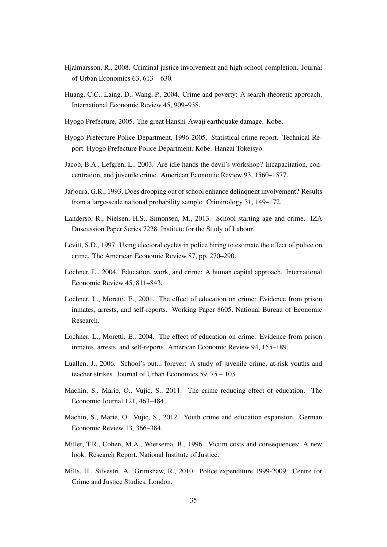- Hjalmarsson, R., 2008. Criminal justice involvement and high school completion. Journal of Urban Economics 63, 613 – 630.
- Huang, C.C., Laing, D., Wang, P., 2004. Crime and poverty: A search-theoretic approach. International Economic Review 45, 909–938.
- Hyogo Prefecture, 2005. The great Hanshi-Awaji earthquake damage. Kobe.
- Hyogo Prefecture Police Department, 1996-2005. Statistical crime report. Technical Report. Hyogo Prefecture Police Department. Kobe. Hanzai Tokeisyo.
- Jacob, B.A., Lefgren, L., 2003. Are idle hands the devil's workshop? Incapacitation, concentration, and juvenile crime. American Economic Review 93, 1560–1577.
- Jarjoura, G.R., 1993. Does dropping out of school enhance delinquent involvement? Results from a large-scale national probability sample. Criminology 31, 149–172.
- Landerso, R., Nielsen, H.S., Simonsen, M., 2013. School starting age and crime. IZA Duscussion Paper Series 7228. Institute for the Study of Labour.
- Levitt, S.D., 1997. Using electoral cycles in police hiring to estimate the effect of police on crime. The American Economic Review 87, pp. 270–290.
- Lochner, L., 2004. Education, work, and crime: A human capital approach. International Economic Review 45, 811–843.
- Lochner, L., Moretti, E., 2001. The effect of education on crime: Evidence from prison inmates, arrests, and self-reports. Working Paper 8605. National Bureau of Economic Research.
- Lochner, L., Moretti, E., 2004. The effect of education on crime: Evidence from prison inmates, arrests, and self-reports. American Economic Review 94, 155–189.
- Luallen, J., 2006. School's out... forever: A study of juvenile crime, at-risk youths and teacher strikes. Journal of Urban Economics 59, 75 – 103.
- Machin, S., Marie, O., Vujic, S., 2011. The crime reducing effect of education. The Economic Journal 121, 463–484.
- Machin, S., Marie, O., Vujic, S., 2012. Youth crime and education expansion. German Economic Review 13, 366–384.
- Miller, T.R., Cohen, M.A., Wiersema, B., 1996. Victim costs and consequences: A new look. Research Report. National Institute of Justice.
- Mills, H., Silvestri, A., Grimshaw, R., 2010. Police expenditure 1999-2009. Centre for Crime and Justice Studies, London.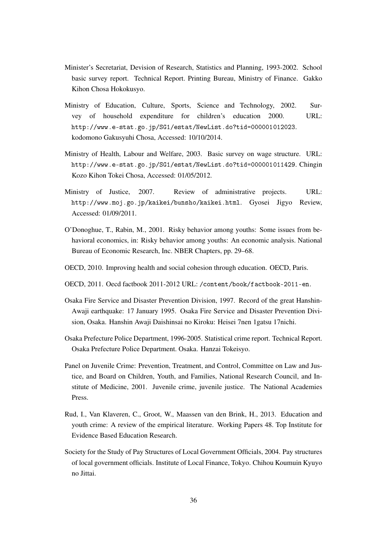- Minister's Secretariat, Devision of Research, Statistics and Planning, 1993-2002. School basic survey report. Technical Report. Printing Bureau, Ministry of Finance. Gakko Kihon Chosa Hokokusyo.
- Ministry of Education, Culture, Sports, Science and Technology, 2002. Survey of household expenditure for children's education 2000. URL: http://www.e-stat.go.jp/SG1/estat/NewList.do?tid=000001012023. kodomono Gakusyuhi Chosa, Accessed: 10/10/2014.
- Ministry of Health, Labour and Welfare, 2003. Basic survey on wage structure. URL: http://www.e-stat.go.jp/SG1/estat/NewList.do?tid=000001011429. Chingin Kozo Kihon Tokei Chosa, Accessed: 01/05/2012.
- Ministry of Justice, 2007. Review of administrative projects. URL: http://www.moj.go.jp/kaikei/bunsho/kaikei.html. Gyosei Jigyo Review, Accessed: 01/09/2011.
- O'Donoghue, T., Rabin, M., 2001. Risky behavior among youths: Some issues from behavioral economics, in: Risky behavior among youths: An economic analysis. National Bureau of Economic Research, Inc. NBER Chapters, pp. 29–68.
- OECD, 2010. Improving health and social cohesion through education. OECD, Paris.
- OECD, 2011. Oecd factbook 2011-2012 URL: /content/book/factbook-2011-en.
- Osaka Fire Service and Disaster Prevention Division, 1997. Record of the great Hanshin-Awaji earthquake: 17 January 1995. Osaka Fire Service and Disaster Prevention Division, Osaka. Hanshin Awaji Daishinsai no Kiroku: Heisei 7nen 1gatsu 17nichi.
- Osaka Prefecture Police Department, 1996-2005. Statistical crime report. Technical Report. Osaka Prefecture Police Department. Osaka. Hanzai Tokeisyo.
- Panel on Juvenile Crime: Prevention, Treatment, and Control, Committee on Law and Justice, and Board on Children, Youth, and Families, National Research Council, and Institute of Medicine, 2001. Juvenile crime, juvenile justice. The National Academies Press.
- Rud, I., Van Klaveren, C., Groot, W., Maassen van den Brink, H., 2013. Education and youth crime: A review of the empirical literature. Working Papers 48. Top Institute for Evidence Based Education Research.
- Society for the Study of Pay Structures of Local Government Officials, 2004. Pay structures of local government officials. Institute of Local Finance, Tokyo. Chihou Koumuin Kyuyo no Jittai.